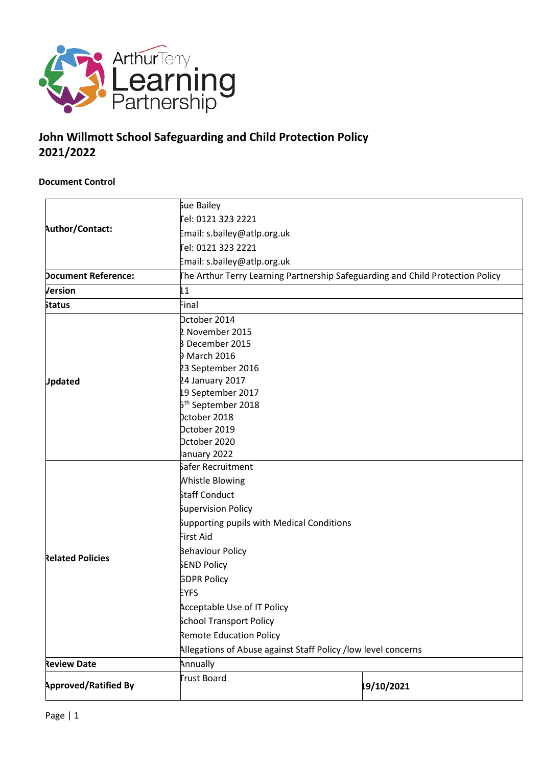

## **John Willmott School Safeguarding and Child Protection Policy 2021/2022**

#### **Document Control**

|                             | Sue Bailey                                                                     |  |  |  |  |
|-----------------------------|--------------------------------------------------------------------------------|--|--|--|--|
|                             | Fel: 0121 323 2221                                                             |  |  |  |  |
| Author/Contact:             | Email: s.bailey@atlp.org.uk                                                    |  |  |  |  |
|                             | el: 0121 323 2221                                                              |  |  |  |  |
|                             | Email: s.bailey@atlp.org.uk                                                    |  |  |  |  |
| <b>Document Reference:</b>  | The Arthur Terry Learning Partnership Safeguarding and Child Protection Policy |  |  |  |  |
| Version                     | 11                                                                             |  |  |  |  |
| <b>Status</b>               | Final                                                                          |  |  |  |  |
|                             | Dctober 2014                                                                   |  |  |  |  |
|                             | 2 November 2015                                                                |  |  |  |  |
|                             | <b>B</b> December 2015                                                         |  |  |  |  |
|                             | <b>D</b> March 2016                                                            |  |  |  |  |
|                             | 23 September 2016                                                              |  |  |  |  |
| <b>Updated</b>              | 24 January 2017                                                                |  |  |  |  |
|                             | 19 September 2017                                                              |  |  |  |  |
|                             | 5 <sup>th</sup> September 2018                                                 |  |  |  |  |
|                             | bctober 2018                                                                   |  |  |  |  |
|                             | Dctober 2019                                                                   |  |  |  |  |
|                             | Dctober 2020                                                                   |  |  |  |  |
|                             | anuary 2022                                                                    |  |  |  |  |
|                             | safer Recruitment                                                              |  |  |  |  |
|                             | <b>Whistle Blowing</b>                                                         |  |  |  |  |
|                             | Staff Conduct                                                                  |  |  |  |  |
|                             | Supervision Policy                                                             |  |  |  |  |
|                             | Supporting pupils with Medical Conditions                                      |  |  |  |  |
|                             | First Aid                                                                      |  |  |  |  |
|                             | Behaviour Policy                                                               |  |  |  |  |
| <b>Related Policies</b>     | <b>SEND Policy</b>                                                             |  |  |  |  |
|                             | <b>GDPR Policy</b>                                                             |  |  |  |  |
|                             | <b>EYFS</b>                                                                    |  |  |  |  |
|                             | <b>Acceptable Use of IT Policy</b>                                             |  |  |  |  |
|                             | <b>School Transport Policy</b>                                                 |  |  |  |  |
|                             | Remote Education Policy                                                        |  |  |  |  |
|                             | Allegations of Abuse against Staff Policy /low level concerns                  |  |  |  |  |
| <b>Review Date</b>          | Annually                                                                       |  |  |  |  |
| <b>Approved/Ratified By</b> | Frust Board<br>19/10/2021                                                      |  |  |  |  |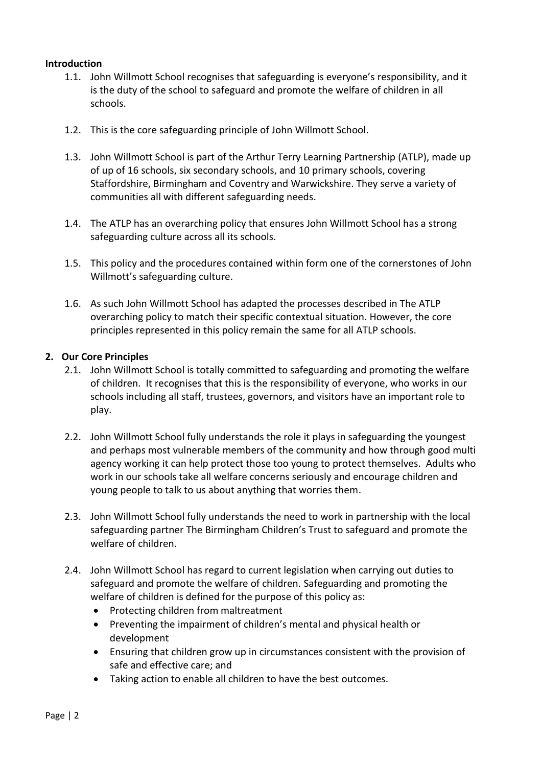#### **Introduction**

- 1.1. John Willmott School recognises that safeguarding is everyone's responsibility, and it is the duty of the school to safeguard and promote the welfare of children in all schools.
- 1.2. This is the core safeguarding principle of John Willmott School.
- 1.3. John Willmott School is part of the Arthur Terry Learning Partnership (ATLP), made up of up of 16 schools, six secondary schools, and 10 primary schools, covering Staffordshire, Birmingham and Coventry and Warwickshire. They serve a variety of communities all with different safeguarding needs.
- 1.4. The ATLP has an overarching policy that ensures John Willmott School has a strong safeguarding culture across all its schools.
- 1.5. This policy and the procedures contained within form one of the cornerstones of John Willmott's safeguarding culture.
- 1.6. As such John Willmott School has adapted the processes described in The ATLP overarching policy to match their specific contextual situation. However, the core principles represented in this policy remain the same for all ATLP schools.

#### **2. Our Core Principles**

- 2.1. John Willmott School is totally committed to safeguarding and promoting the welfare of children. It recognises that this is the responsibility of everyone, who works in our schools including all staff, trustees, governors, and visitors have an important role to play.
- 2.2. John Willmott School fully understands the role it plays in safeguarding the youngest and perhaps most vulnerable members of the community and how through good multi agency working it can help protect those too young to protect themselves. Adults who work in our schools take all welfare concerns seriously and encourage children and young people to talk to us about anything that worries them.
- 2.3. John Willmott School fully understands the need to work in partnership with the local safeguarding partner The Birmingham Children's Trust to safeguard and promote the welfare of children.
- 2.4. John Willmott School has regard to current legislation when carrying out duties to safeguard and promote the welfare of children. Safeguarding and promoting the welfare of children is defined for the purpose of this policy as:
	- Protecting children from maltreatment
	- Preventing the impairment of children's mental and physical health or development
	- Ensuring that children grow up in circumstances consistent with the provision of safe and effective care; and
	- Taking action to enable all children to have the best outcomes.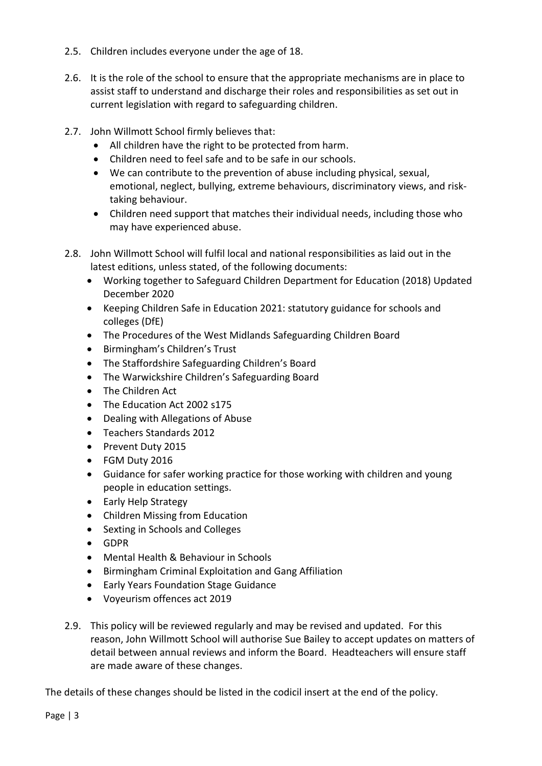- 2.5. Children includes everyone under the age of 18.
- 2.6. It is the role of the school to ensure that the appropriate mechanisms are in place to assist staff to understand and discharge their roles and responsibilities as set out in current legislation with regard to safeguarding children.
- 2.7. John Willmott School firmly believes that:
	- All children have the right to be protected from harm.
	- Children need to feel safe and to be safe in our schools.
	- We can contribute to the prevention of abuse including physical, sexual, emotional, neglect, bullying, extreme behaviours, discriminatory views, and risktaking behaviour.
	- Children need support that matches their individual needs, including those who may have experienced abuse.
- 2.8. John Willmott School will fulfil local and national responsibilities as laid out in the latest editions, unless stated, of the following documents:
	- Working together to Safeguard Children Department for Education (2018) Updated December 2020
	- Keeping Children Safe in Education 2021: statutory guidance for schools and colleges (DfE)
	- The Procedures of the West Midlands Safeguarding Children Board
	- Birmingham's Children's Trust
	- The Staffordshire Safeguarding Children's Board
	- The Warwickshire Children's Safeguarding Board
	- The Children Act
	- The Education Act 2002 s175
	- Dealing with Allegations of Abuse
	- Teachers Standards 2012
	- Prevent Duty 2015
	- FGM Duty 2016
	- Guidance for safer working practice for those working with children and young people in education settings.
	- Early Help Strategy
	- Children Missing from Education
	- Sexting in Schools and Colleges
	- GDPR
	- Mental Health & Behaviour in Schools
	- Birmingham Criminal Exploitation and Gang Affiliation
	- Early Years Foundation Stage Guidance
	- Voyeurism offences act 2019
- 2.9. This policy will be reviewed regularly and may be revised and updated. For this reason, John Willmott School will authorise Sue Bailey to accept updates on matters of detail between annual reviews and inform the Board. Headteachers will ensure staff are made aware of these changes.

The details of these changes should be listed in the codicil insert at the end of the policy.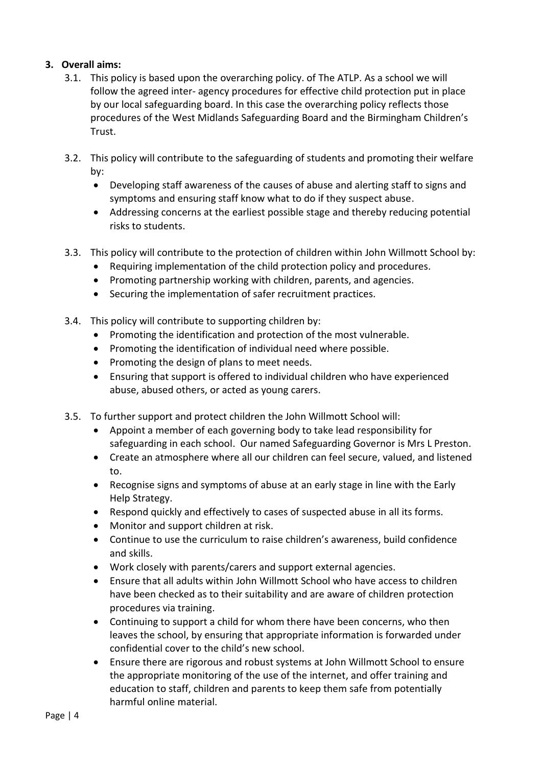#### **3. Overall aims:**

- 3.1. This policy is based upon the overarching policy. of The ATLP. As a school we will follow the agreed inter- agency procedures for effective child protection put in place by our local safeguarding board. In this case the overarching policy reflects those procedures of the West Midlands Safeguarding Board and the Birmingham Children's Trust.
- 3.2. This policy will contribute to the safeguarding of students and promoting their welfare by:
	- Developing staff awareness of the causes of abuse and alerting staff to signs and symptoms and ensuring staff know what to do if they suspect abuse.
	- Addressing concerns at the earliest possible stage and thereby reducing potential risks to students.
- 3.3. This policy will contribute to the protection of children within John Willmott School by:
	- Requiring implementation of the child protection policy and procedures.
	- Promoting partnership working with children, parents, and agencies.
	- Securing the implementation of safer recruitment practices.
- 3.4. This policy will contribute to supporting children by:
	- Promoting the identification and protection of the most vulnerable.
	- Promoting the identification of individual need where possible.
	- Promoting the design of plans to meet needs.
	- Ensuring that support is offered to individual children who have experienced abuse, abused others, or acted as young carers.
- 3.5. To further support and protect children the John Willmott School will:
	- Appoint a member of each governing body to take lead responsibility for safeguarding in each school. Our named Safeguarding Governor is Mrs L Preston.
	- Create an atmosphere where all our children can feel secure, valued, and listened to.
	- Recognise signs and symptoms of abuse at an early stage in line with the Early Help Strategy.
	- Respond quickly and effectively to cases of suspected abuse in all its forms.
	- Monitor and support children at risk.
	- Continue to use the curriculum to raise children's awareness, build confidence and skills.
	- Work closely with parents/carers and support external agencies.
	- Ensure that all adults within John Willmott School who have access to children have been checked as to their suitability and are aware of children protection procedures via training.
	- Continuing to support a child for whom there have been concerns, who then leaves the school, by ensuring that appropriate information is forwarded under confidential cover to the child's new school.
	- Ensure there are rigorous and robust systems at John Willmott School to ensure the appropriate monitoring of the use of the internet, and offer training and education to staff, children and parents to keep them safe from potentially harmful online material.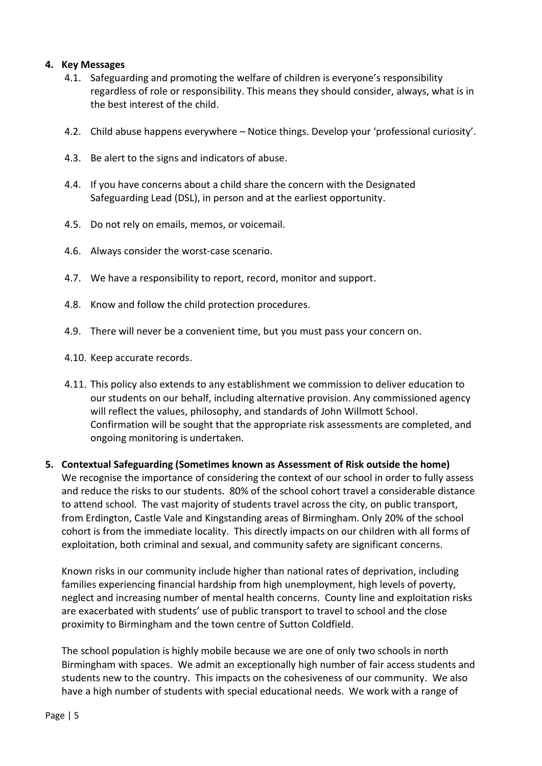#### **4. Key Messages**

- 4.1. Safeguarding and promoting the welfare of children is everyone's responsibility regardless of role or responsibility. This means they should consider, always, what is in the best interest of the child.
- 4.2. Child abuse happens everywhere Notice things. Develop your 'professional curiosity'.
- 4.3. Be alert to the signs and indicators of abuse.
- 4.4. If you have concerns about a child share the concern with the Designated Safeguarding Lead (DSL), in person and at the earliest opportunity.
- 4.5. Do not rely on emails, memos, or voicemail.
- 4.6. Always consider the worst-case scenario.
- 4.7. We have a responsibility to report, record, monitor and support.
- 4.8. Know and follow the child protection procedures.
- 4.9. There will never be a convenient time, but you must pass your concern on.
- 4.10. Keep accurate records.
- 4.11. This policy also extends to any establishment we commission to deliver education to our students on our behalf, including alternative provision. Any commissioned agency will reflect the values, philosophy, and standards of John Willmott School. Confirmation will be sought that the appropriate risk assessments are completed, and ongoing monitoring is undertaken.
- **5. Contextual Safeguarding (Sometimes known as Assessment of Risk outside the home)** We recognise the importance of considering the context of our school in order to fully assess and reduce the risks to our students. 80% of the school cohort travel a considerable distance to attend school. The vast majority of students travel across the city, on public transport, from Erdington, Castle Vale and Kingstanding areas of Birmingham. Only 20% of the school cohort is from the immediate locality. This directly impacts on our children with all forms of exploitation, both criminal and sexual, and community safety are significant concerns.

Known risks in our community include higher than national rates of deprivation, including families experiencing financial hardship from high unemployment, high levels of poverty, neglect and increasing number of mental health concerns. County line and exploitation risks are exacerbated with students' use of public transport to travel to school and the close proximity to Birmingham and the town centre of Sutton Coldfield.

The school population is highly mobile because we are one of only two schools in north Birmingham with spaces. We admit an exceptionally high number of fair access students and students new to the country. This impacts on the cohesiveness of our community. We also have a high number of students with special educational needs. We work with a range of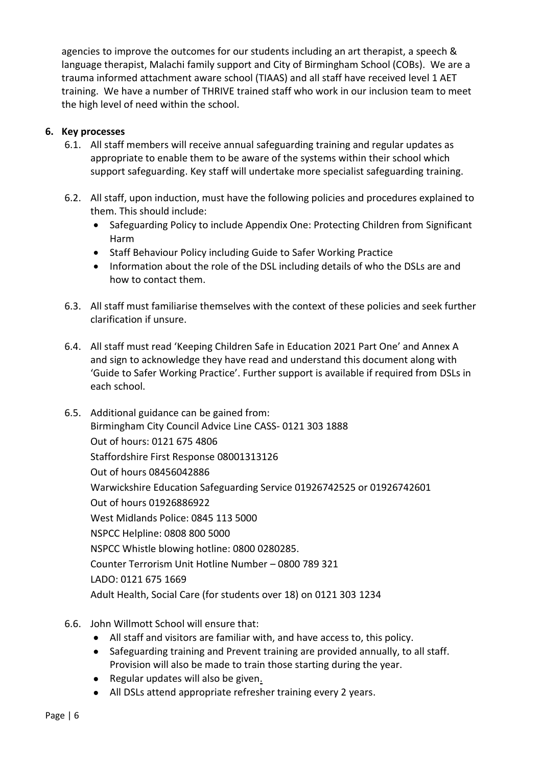agencies to improve the outcomes for our students including an art therapist, a speech & language therapist, Malachi family support and City of Birmingham School (COBs). We are a trauma informed attachment aware school (TIAAS) and all staff have received level 1 AET training. We have a number of THRIVE trained staff who work in our inclusion team to meet the high level of need within the school.

#### **6. Key processes**

- 6.1. All staff members will receive annual safeguarding training and regular updates as appropriate to enable them to be aware of the systems within their school which support safeguarding. Key staff will undertake more specialist safeguarding training.
- 6.2. All staff, upon induction, must have the following policies and procedures explained to them. This should include:
	- Safeguarding Policy to include Appendix One: Protecting Children from Significant Harm
	- Staff Behaviour Policy including Guide to Safer Working Practice
	- Information about the role of the DSL including details of who the DSLs are and how to contact them.
- 6.3. All staff must familiarise themselves with the context of these policies and seek further clarification if unsure.
- 6.4. All staff must read 'Keeping Children Safe in Education 2021 Part One' and Annex A and sign to acknowledge they have read and understand this document along with 'Guide to Safer Working Practice'. Further support is available if required from DSLs in each school.
- 6.5. Additional guidance can be gained from: Birmingham City Council Advice Line CASS- 0121 303 1888 Out of hours: 0121 675 4806 Staffordshire First Response 08001313126 Out of hours 08456042886 Warwickshire Education Safeguarding Service 01926742525 or 01926742601 Out of hours 01926886922 West Midlands Police: 0845 113 5000 NSPCC Helpline: 0808 800 5000 NSPCC Whistle blowing hotline: 0800 0280285. Counter Terrorism Unit Hotline Number – 0800 789 321 LADO: 0121 675 1669 Adult Health, Social Care (for students over 18) on 0121 303 1234
- 6.6. John Willmott School will ensure that:
	- All staff and visitors are familiar with, and have access to, this policy.
	- Safeguarding training and Prevent training are provided annually, to all staff. Provision will also be made to train those starting during the year.
	- Regular updates will also be given.
	- All DSLs attend appropriate refresher training every 2 years.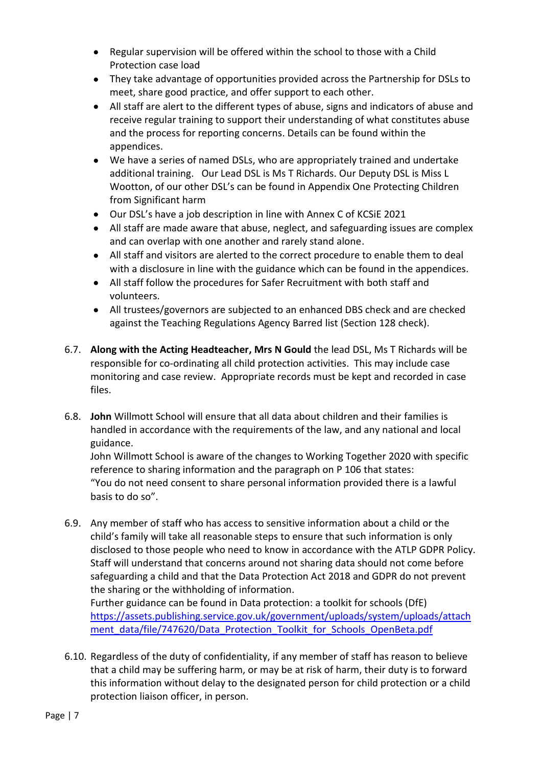- Regular supervision will be offered within the school to those with a Child Protection case load
- They take advantage of opportunities provided across the Partnership for DSLs to meet, share good practice, and offer support to each other.
- All staff are alert to the different types of abuse, signs and indicators of abuse and receive regular training to support their understanding of what constitutes abuse and the process for reporting concerns. Details can be found within the appendices.
- We have a series of named DSLs, who are appropriately trained and undertake additional training. Our Lead DSL is Ms T Richards. Our Deputy DSL is Miss L Wootton, of our other DSL's can be found in Appendix One Protecting Children from Significant harm
- Our DSL's have a job description in line with Annex C of KCSiE 2021
- All staff are made aware that abuse, neglect, and safeguarding issues are complex and can overlap with one another and rarely stand alone.
- All staff and visitors are alerted to the correct procedure to enable them to deal with a disclosure in line with the guidance which can be found in the appendices.
- All staff follow the procedures for Safer Recruitment with both staff and volunteers.
- All trustees/governors are subjected to an enhanced DBS check and are checked against the Teaching Regulations Agency Barred list (Section 128 check).
- 6.7. **Along with the Acting Headteacher, Mrs N Gould** the lead DSL, Ms T Richards will be responsible for co-ordinating all child protection activities. This may include case monitoring and case review. Appropriate records must be kept and recorded in case files.
- 6.8. **John** Willmott School will ensure that all data about children and their families is handled in accordance with the requirements of the law, and any national and local guidance.

John Willmott School is aware of the changes to Working Together 2020 with specific reference to sharing information and the paragraph on P 106 that states: "You do not need consent to share personal information provided there is a lawful basis to do so".

6.9. Any member of staff who has access to sensitive information about a child or the child's family will take all reasonable steps to ensure that such information is only disclosed to those people who need to know in accordance with the ATLP GDPR Policy. Staff will understand that concerns around not sharing data should not come before safeguarding a child and that the Data Protection Act 2018 and GDPR do not prevent the sharing or the withholding of information. Further guidance can be found in Data protection: a toolkit for schools (DfE)

[https://assets.publishing.service.gov.uk/government/uploads/system/uploads/attach](https://assets.publishing.service.gov.uk/government/uploads/system/uploads/attachment_data/file/747620/Data_Protection_Toolkit_for_Schools_OpenBeta.pdf) [ment\\_data/file/747620/Data\\_Protection\\_Toolkit\\_for\\_Schools\\_OpenBeta.pdf](https://assets.publishing.service.gov.uk/government/uploads/system/uploads/attachment_data/file/747620/Data_Protection_Toolkit_for_Schools_OpenBeta.pdf)

6.10. Regardless of the duty of confidentiality, if any member of staff has reason to believe that a child may be suffering harm, or may be at risk of harm, their duty is to forward this information without delay to the designated person for child protection or a child protection liaison officer, in person.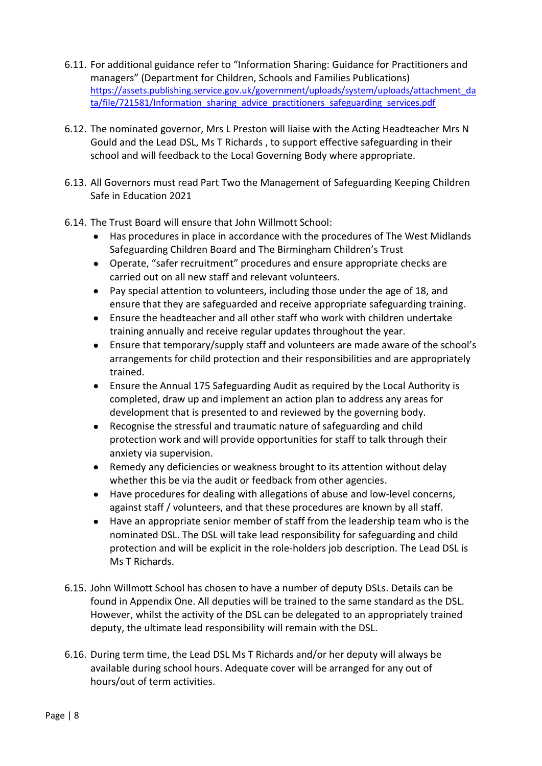- 6.11. For additional guidance refer to "Information Sharing: Guidance for Practitioners and managers" (Department for Children, Schools and Families Publications) [https://assets.publishing.service.gov.uk/government/uploads/system/uploads/attachment\\_da](https://assets.publishing.service.gov.uk/government/uploads/system/uploads/attachment_data/file/721581/Information_sharing_advice_practitioners_safeguarding_services.pdf) [ta/file/721581/Information\\_sharing\\_advice\\_practitioners\\_safeguarding\\_services.pdf](https://assets.publishing.service.gov.uk/government/uploads/system/uploads/attachment_data/file/721581/Information_sharing_advice_practitioners_safeguarding_services.pdf)
- 6.12. The nominated governor, Mrs L Preston will liaise with the Acting Headteacher Mrs N Gould and the Lead DSL, Ms T Richards , to support effective safeguarding in their school and will feedback to the Local Governing Body where appropriate.
- 6.13. All Governors must read Part Two the Management of Safeguarding Keeping Children Safe in Education 2021
- 6.14. The Trust Board will ensure that John Willmott School:
	- Has procedures in place in accordance with the procedures of The West Midlands Safeguarding Children Board and The Birmingham Children's Trust
	- Operate, "safer recruitment" procedures and ensure appropriate checks are carried out on all new staff and relevant volunteers.
	- Pay special attention to volunteers, including those under the age of 18, and ensure that they are safeguarded and receive appropriate safeguarding training.
	- Ensure the headteacher and all other staff who work with children undertake training annually and receive regular updates throughout the year.
	- Ensure that temporary/supply staff and volunteers are made aware of the school's arrangements for child protection and their responsibilities and are appropriately trained.
	- Ensure the Annual 175 Safeguarding Audit as required by the Local Authority is completed, draw up and implement an action plan to address any areas for development that is presented to and reviewed by the governing body.
	- Recognise the stressful and traumatic nature of safeguarding and child protection work and will provide opportunities for staff to talk through their anxiety via supervision.
	- Remedy any deficiencies or weakness brought to its attention without delay whether this be via the audit or feedback from other agencies.
	- Have procedures for dealing with allegations of abuse and low-level concerns, against staff / volunteers, and that these procedures are known by all staff.
	- Have an appropriate senior member of staff from the leadership team who is the nominated DSL. The DSL will take lead responsibility for safeguarding and child protection and will be explicit in the role-holders job description. The Lead DSL is Ms T Richards.
- 6.15. John Willmott School has chosen to have a number of deputy DSLs. Details can be found in Appendix One. All deputies will be trained to the same standard as the DSL. However, whilst the activity of the DSL can be delegated to an appropriately trained deputy, the ultimate lead responsibility will remain with the DSL.
- 6.16. During term time, the Lead DSL Ms T Richards and/or her deputy will always be available during school hours. Adequate cover will be arranged for any out of hours/out of term activities.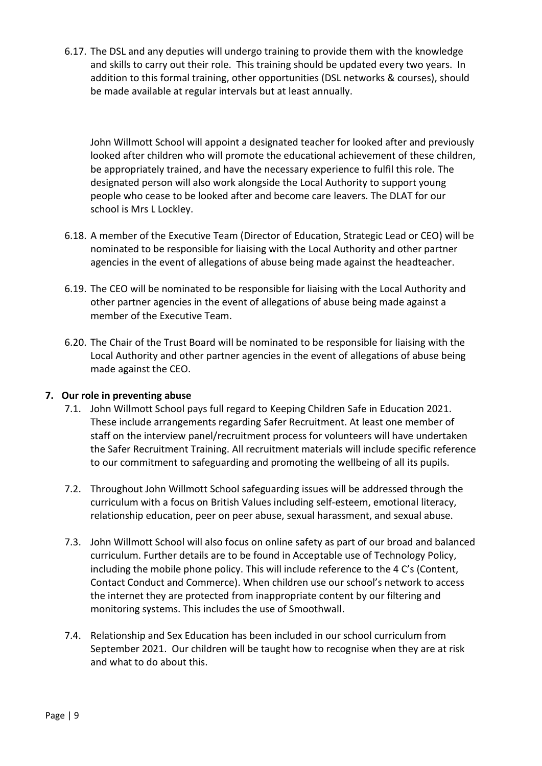6.17. The DSL and any deputies will undergo training to provide them with the knowledge and skills to carry out their role. This training should be updated every two years. In addition to this formal training, other opportunities (DSL networks & courses), should be made available at regular intervals but at least annually.

John Willmott School will appoint a designated teacher for looked after and previously looked after children who will promote the educational achievement of these children, be appropriately trained, and have the necessary experience to fulfil this role. The designated person will also work alongside the Local Authority to support young people who cease to be looked after and become care leavers. The DLAT for our school is Mrs L Lockley.

- 6.18. A member of the Executive Team (Director of Education, Strategic Lead or CEO) will be nominated to be responsible for liaising with the Local Authority and other partner agencies in the event of allegations of abuse being made against the headteacher.
- 6.19. The CEO will be nominated to be responsible for liaising with the Local Authority and other partner agencies in the event of allegations of abuse being made against a member of the Executive Team.
- 6.20. The Chair of the Trust Board will be nominated to be responsible for liaising with the Local Authority and other partner agencies in the event of allegations of abuse being made against the CEO.

#### **7. Our role in preventing abuse**

- 7.1. John Willmott School pays full regard to Keeping Children Safe in Education 2021. These include arrangements regarding Safer Recruitment. At least one member of staff on the interview panel/recruitment process for volunteers will have undertaken the Safer Recruitment Training. All recruitment materials will include specific reference to our commitment to safeguarding and promoting the wellbeing of all its pupils.
- 7.2. Throughout John Willmott School safeguarding issues will be addressed through the curriculum with a focus on British Values including self-esteem, emotional literacy, relationship education, peer on peer abuse, sexual harassment, and sexual abuse.
- 7.3. John Willmott School will also focus on online safety as part of our broad and balanced curriculum. Further details are to be found in Acceptable use of Technology Policy, including the mobile phone policy. This will include reference to the 4 C's (Content, Contact Conduct and Commerce). When children use our school's network to access the internet they are protected from inappropriate content by our filtering and monitoring systems. This includes the use of Smoothwall.
- 7.4. Relationship and Sex Education has been included in our school curriculum from September 2021. Our children will be taught how to recognise when they are at risk and what to do about this.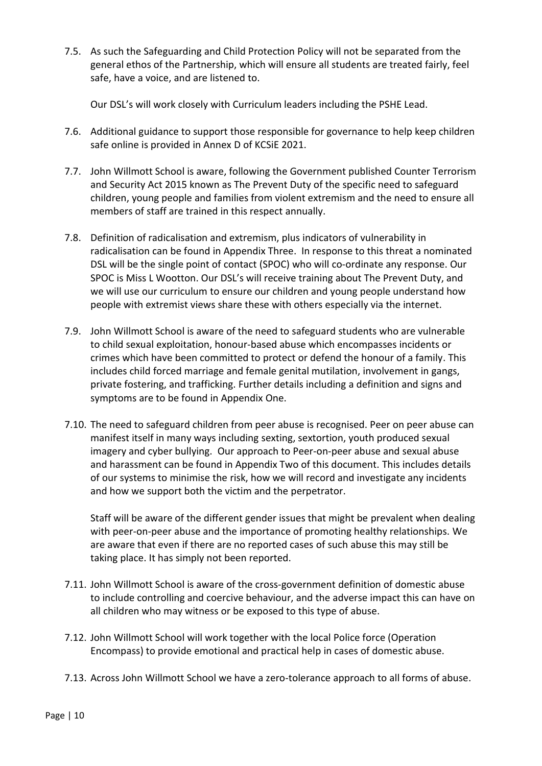7.5. As such the Safeguarding and Child Protection Policy will not be separated from the general ethos of the Partnership, which will ensure all students are treated fairly, feel safe, have a voice, and are listened to.

Our DSL's will work closely with Curriculum leaders including the PSHE Lead.

- 7.6. Additional guidance to support those responsible for governance to help keep children safe online is provided in Annex D of KCSiE 2021.
- 7.7. John Willmott School is aware, following the Government published Counter Terrorism and Security Act 2015 known as The Prevent Duty of the specific need to safeguard children, young people and families from violent extremism and the need to ensure all members of staff are trained in this respect annually.
- 7.8. Definition of radicalisation and extremism, plus indicators of vulnerability in radicalisation can be found in Appendix Three. In response to this threat a nominated DSL will be the single point of contact (SPOC) who will co-ordinate any response. Our SPOC is Miss L Wootton. Our DSL's will receive training about The Prevent Duty, and we will use our curriculum to ensure our children and young people understand how people with extremist views share these with others especially via the internet.
- 7.9. John Willmott School is aware of the need to safeguard students who are vulnerable to child sexual exploitation, honour-based abuse which encompasses incidents or crimes which have been committed to protect or defend the honour of a family. This includes child forced marriage and female genital mutilation, involvement in gangs, private fostering, and trafficking. Further details including a definition and signs and symptoms are to be found in Appendix One.
- 7.10. The need to safeguard children from peer abuse is recognised. Peer on peer abuse can manifest itself in many ways including sexting, sextortion, youth produced sexual imagery and cyber bullying. Our approach to Peer-on-peer abuse and sexual abuse and harassment can be found in Appendix Two of this document. This includes details of our systems to minimise the risk, how we will record and investigate any incidents and how we support both the victim and the perpetrator.

Staff will be aware of the different gender issues that might be prevalent when dealing with peer-on-peer abuse and the importance of promoting healthy relationships. We are aware that even if there are no reported cases of such abuse this may still be taking place. It has simply not been reported.

- 7.11. John Willmott School is aware of the cross-government definition of domestic abuse to include controlling and coercive behaviour, and the adverse impact this can have on all children who may witness or be exposed to this type of abuse.
- 7.12. John Willmott School will work together with the local Police force (Operation Encompass) to provide emotional and practical help in cases of domestic abuse.
- 7.13. Across John Willmott School we have a zero-tolerance approach to all forms of abuse.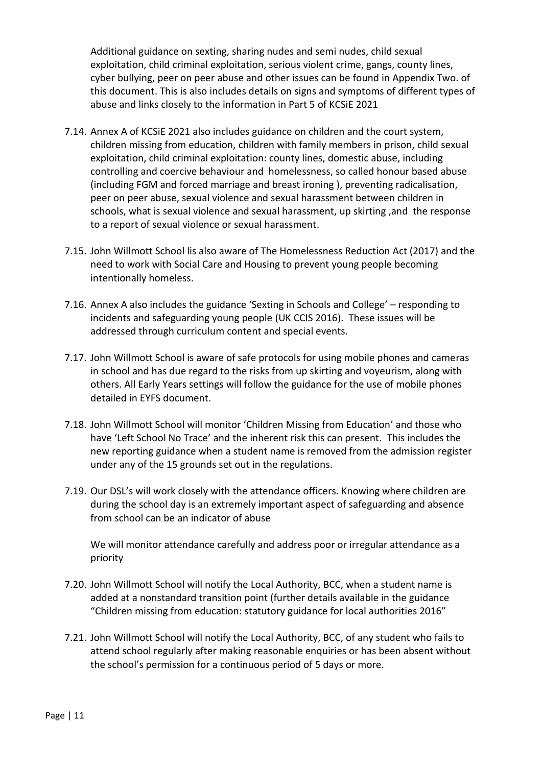Additional guidance on sexting, sharing nudes and semi nudes, child sexual exploitation, child criminal exploitation, serious violent crime, gangs, county lines, cyber bullying, peer on peer abuse and other issues can be found in Appendix Two. of this document. This is also includes details on signs and symptoms of different types of abuse and links closely to the information in Part 5 of KCSiE 2021

- 7.14. Annex A of KCSiE 2021 also includes guidance on children and the court system, children missing from education, children with family members in prison, child sexual exploitation, child criminal exploitation: county lines, domestic abuse, including controlling and coercive behaviour and homelessness, so called honour based abuse (including FGM and forced marriage and breast ironing ), preventing radicalisation, peer on peer abuse, sexual violence and sexual harassment between children in schools, what is sexual violence and sexual harassment, up skirting ,and the response to a report of sexual violence or sexual harassment.
- 7.15. John Willmott School lis also aware of The Homelessness Reduction Act (2017) and the need to work with Social Care and Housing to prevent young people becoming intentionally homeless.
- 7.16. Annex A also includes the guidance 'Sexting in Schools and College' responding to incidents and safeguarding young people (UK CCIS 2016). These issues will be addressed through curriculum content and special events.
- 7.17. John Willmott School is aware of safe protocols for using mobile phones and cameras in school and has due regard to the risks from up skirting and voyeurism, along with others. All Early Years settings will follow the guidance for the use of mobile phones detailed in EYFS document.
- 7.18. John Willmott School will monitor 'Children Missing from Education' and those who have 'Left School No Trace' and the inherent risk this can present. This includes the new reporting guidance when a student name is removed from the admission register under any of the 15 grounds set out in the regulations.
- 7.19. Our DSL's will work closely with the attendance officers. Knowing where children are during the school day is an extremely important aspect of safeguarding and absence from school can be an indicator of abuse

We will monitor attendance carefully and address poor or irregular attendance as a priority

- 7.20. John Willmott School will notify the Local Authority, BCC, when a student name is added at a nonstandard transition point (further details available in the guidance "Children missing from education: statutory guidance for local authorities 2016"
- 7.21. John Willmott School will notify the Local Authority, BCC, of any student who fails to attend school regularly after making reasonable enquiries or has been absent without the school's permission for a continuous period of 5 days or more.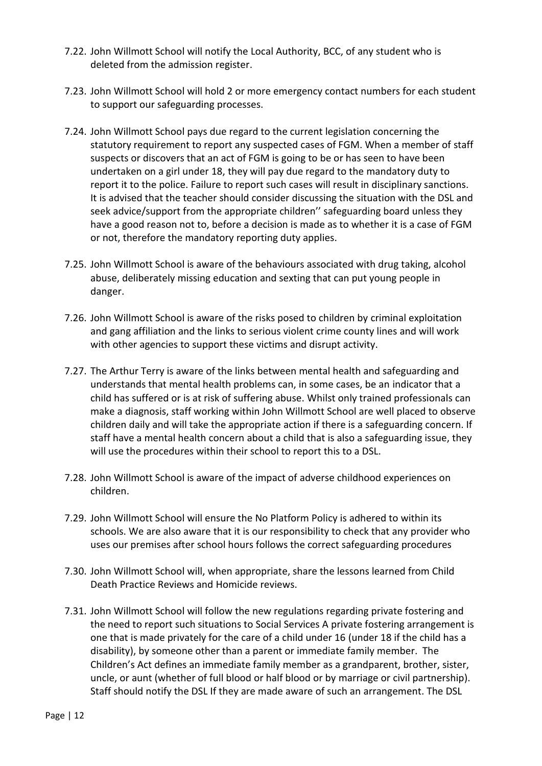- 7.22. John Willmott School will notify the Local Authority, BCC, of any student who is deleted from the admission register.
- 7.23. John Willmott School will hold 2 or more emergency contact numbers for each student to support our safeguarding processes.
- 7.24. John Willmott School pays due regard to the current legislation concerning the statutory requirement to report any suspected cases of FGM. When a member of staff suspects or discovers that an act of FGM is going to be or has seen to have been undertaken on a girl under 18, they will pay due regard to the mandatory duty to report it to the police. Failure to report such cases will result in disciplinary sanctions. It is advised that the teacher should consider discussing the situation with the DSL and seek advice/support from the appropriate children'' safeguarding board unless they have a good reason not to, before a decision is made as to whether it is a case of FGM or not, therefore the mandatory reporting duty applies.
- 7.25. John Willmott School is aware of the behaviours associated with drug taking, alcohol abuse, deliberately missing education and sexting that can put young people in danger.
- 7.26. John Willmott School is aware of the risks posed to children by criminal exploitation and gang affiliation and the links to serious violent crime county lines and will work with other agencies to support these victims and disrupt activity.
- 7.27. The Arthur Terry is aware of the links between mental health and safeguarding and understands that mental health problems can, in some cases, be an indicator that a child has suffered or is at risk of suffering abuse. Whilst only trained professionals can make a diagnosis, staff working within John Willmott School are well placed to observe children daily and will take the appropriate action if there is a safeguarding concern. If staff have a mental health concern about a child that is also a safeguarding issue, they will use the procedures within their school to report this to a DSL.
- 7.28. John Willmott School is aware of the impact of adverse childhood experiences on children.
- 7.29. John Willmott School will ensure the No Platform Policy is adhered to within its schools. We are also aware that it is our responsibility to check that any provider who uses our premises after school hours follows the correct safeguarding procedures
- 7.30. John Willmott School will, when appropriate, share the lessons learned from Child Death Practice Reviews and Homicide reviews.
- 7.31. John Willmott School will follow the new regulations regarding private fostering and the need to report such situations to Social Services A private fostering arrangement is one that is made privately for the care of a child under 16 (under 18 if the child has a disability), by someone other than a parent or immediate family member. The Children's Act defines an immediate family member as a grandparent, brother, sister, uncle, or aunt (whether of full blood or half blood or by marriage or civil partnership). Staff should notify the DSL If they are made aware of such an arrangement. The DSL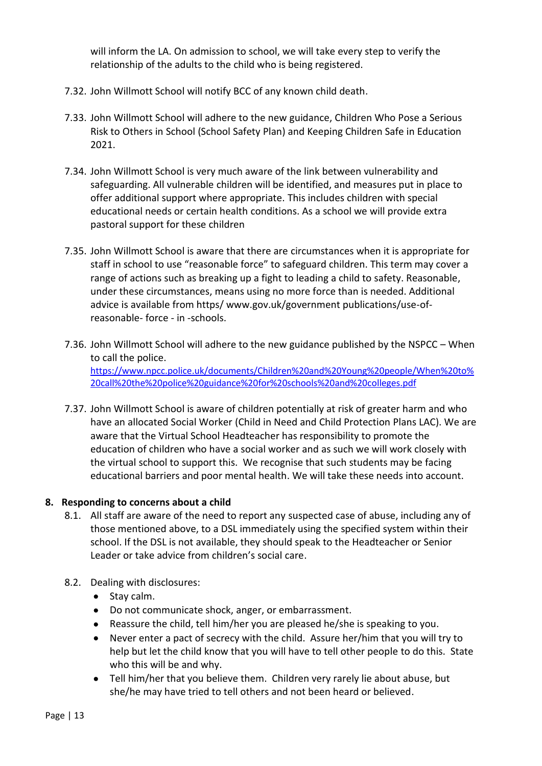will inform the LA. On admission to school, we will take every step to verify the relationship of the adults to the child who is being registered.

- 7.32. John Willmott School will notify BCC of any known child death.
- 7.33. John Willmott School will adhere to the new guidance, Children Who Pose a Serious Risk to Others in School (School Safety Plan) and Keeping Children Safe in Education 2021.
- 7.34. John Willmott School is very much aware of the link between vulnerability and safeguarding. All vulnerable children will be identified, and measures put in place to offer additional support where appropriate. This includes children with special educational needs or certain health conditions. As a school we will provide extra pastoral support for these children
- 7.35. John Willmott School is aware that there are circumstances when it is appropriate for staff in school to use "reasonable force" to safeguard children. This term may cover a range of actions such as breaking up a fight to leading a child to safety. Reasonable, under these circumstances, means using no more force than is needed. Additional advice is available from https/ www.gov.uk/government publications/use-ofreasonable- force - in -schools.
- 7.36. John Willmott School will adhere to the new guidance published by the NSPCC When to call the police. [https://www.npcc.police.uk/documents/Children%20and%20Young%20people/When%20to%](https://www.npcc.police.uk/documents/Children%20and%20Young%20people/When%20to%20call%20the%20police%20guidance%20for%20schools%20and%20colleges.pdf) [20call%20the%20police%20guidance%20for%20schools%20and%20colleges.pdf](https://www.npcc.police.uk/documents/Children%20and%20Young%20people/When%20to%20call%20the%20police%20guidance%20for%20schools%20and%20colleges.pdf)
- 7.37. John Willmott School is aware of children potentially at risk of greater harm and who have an allocated Social Worker (Child in Need and Child Protection Plans LAC). We are aware that the Virtual School Headteacher has responsibility to promote the education of children who have a social worker and as such we will work closely with the virtual school to support this. We recognise that such students may be facing educational barriers and poor mental health. We will take these needs into account.

#### **8. Responding to concerns about a child**

- 8.1. All staff are aware of the need to report any suspected case of abuse, including any of those mentioned above, to a DSL immediately using the specified system within their school. If the DSL is not available, they should speak to the Headteacher or Senior Leader or take advice from children's social care.
- 8.2. Dealing with disclosures:
	- Stay calm.
	- Do not communicate shock, anger, or embarrassment.
	- Reassure the child, tell him/her you are pleased he/she is speaking to you.
	- Never enter a pact of secrecy with the child. Assure her/him that you will try to help but let the child know that you will have to tell other people to do this. State who this will be and why.
	- Tell him/her that you believe them. Children very rarely lie about abuse, but she/he may have tried to tell others and not been heard or believed.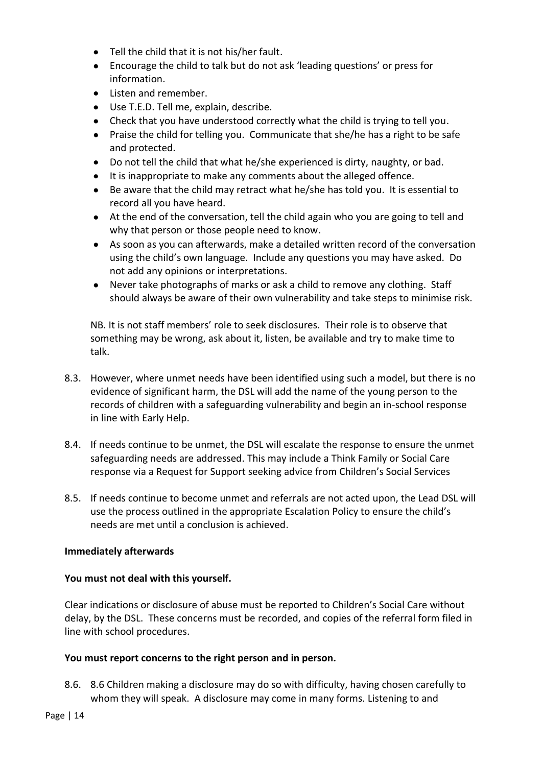- Tell the child that it is not his/her fault.
- Encourage the child to talk but do not ask 'leading questions' or press for information.
- Listen and remember.
- Use T.E.D. Tell me, explain, describe.
- Check that you have understood correctly what the child is trying to tell you.
- Praise the child for telling you. Communicate that she/he has a right to be safe and protected.
- Do not tell the child that what he/she experienced is dirty, naughty, or bad.
- It is inappropriate to make any comments about the alleged offence.
- Be aware that the child may retract what he/she has told you. It is essential to record all you have heard.
- At the end of the conversation, tell the child again who you are going to tell and why that person or those people need to know.
- As soon as you can afterwards, make a detailed written record of the conversation using the child's own language. Include any questions you may have asked. Do not add any opinions or interpretations.
- Never take photographs of marks or ask a child to remove any clothing. Staff should always be aware of their own vulnerability and take steps to minimise risk.

NB. It is not staff members' role to seek disclosures. Their role is to observe that something may be wrong, ask about it, listen, be available and try to make time to talk.

- 8.3. However, where unmet needs have been identified using such a model, but there is no evidence of significant harm, the DSL will add the name of the young person to the records of children with a safeguarding vulnerability and begin an in-school response in line with Early Help.
- 8.4. If needs continue to be unmet, the DSL will escalate the response to ensure the unmet safeguarding needs are addressed. This may include a Think Family or Social Care response via a Request for Support seeking advice from Children's Social Services
- 8.5. If needs continue to become unmet and referrals are not acted upon, the Lead DSL will use the process outlined in the appropriate Escalation Policy to ensure the child's needs are met until a conclusion is achieved.

#### **Immediately afterwards**

#### **You must not deal with this yourself.**

Clear indications or disclosure of abuse must be reported to Children's Social Care without delay, by the DSL. These concerns must be recorded, and copies of the referral form filed in line with school procedures.

#### **You must report concerns to the right person and in person.**

8.6. 8.6 Children making a disclosure may do so with difficulty, having chosen carefully to whom they will speak. A disclosure may come in many forms. Listening to and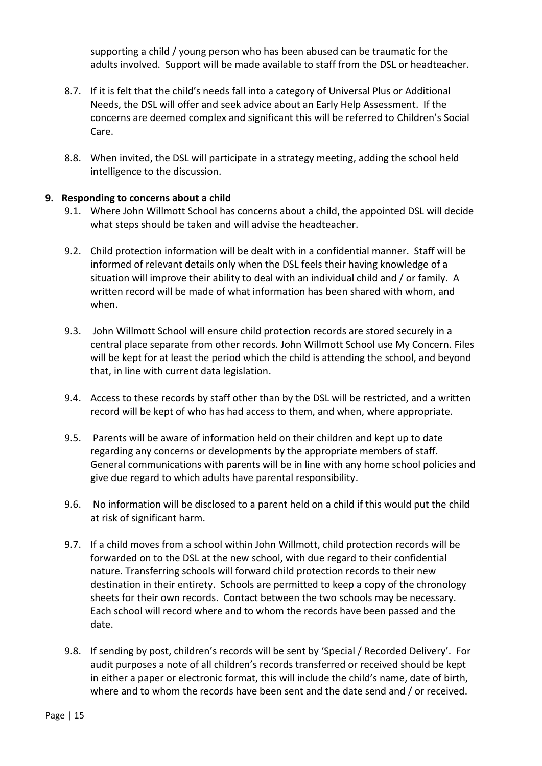supporting a child / young person who has been abused can be traumatic for the adults involved. Support will be made available to staff from the DSL or headteacher.

- 8.7. If it is felt that the child's needs fall into a category of Universal Plus or Additional Needs, the DSL will offer and seek advice about an Early Help Assessment. If the concerns are deemed complex and significant this will be referred to Children's Social Care.
- 8.8. When invited, the DSL will participate in a strategy meeting, adding the school held intelligence to the discussion.

#### **9. Responding to concerns about a child**

- 9.1. Where John Willmott School has concerns about a child, the appointed DSL will decide what steps should be taken and will advise the headteacher.
- 9.2. Child protection information will be dealt with in a confidential manner. Staff will be informed of relevant details only when the DSL feels their having knowledge of a situation will improve their ability to deal with an individual child and / or family. A written record will be made of what information has been shared with whom, and when.
- 9.3. John Willmott School will ensure child protection records are stored securely in a central place separate from other records. John Willmott School use My Concern. Files will be kept for at least the period which the child is attending the school, and beyond that, in line with current data legislation.
- 9.4. Access to these records by staff other than by the DSL will be restricted, and a written record will be kept of who has had access to them, and when, where appropriate.
- 9.5. Parents will be aware of information held on their children and kept up to date regarding any concerns or developments by the appropriate members of staff. General communications with parents will be in line with any home school policies and give due regard to which adults have parental responsibility.
- 9.6. No information will be disclosed to a parent held on a child if this would put the child at risk of significant harm.
- 9.7. If a child moves from a school within John Willmott, child protection records will be forwarded on to the DSL at the new school, with due regard to their confidential nature. Transferring schools will forward child protection records to their new destination in their entirety. Schools are permitted to keep a copy of the chronology sheets for their own records. Contact between the two schools may be necessary. Each school will record where and to whom the records have been passed and the date.
- 9.8. If sending by post, children's records will be sent by 'Special / Recorded Delivery'. For audit purposes a note of all children's records transferred or received should be kept in either a paper or electronic format, this will include the child's name, date of birth, where and to whom the records have been sent and the date send and / or received.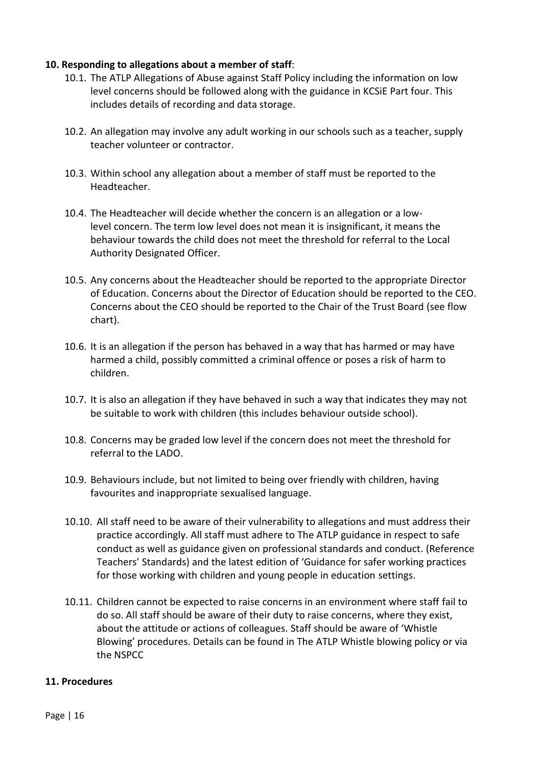#### **10. Responding to allegations about a member of staff**:

- 10.1. The ATLP Allegations of Abuse against Staff Policy including the information on low level concerns should be followed along with the guidance in KCSiE Part four. This includes details of recording and data storage.
- 10.2. An allegation may involve any adult working in our schools such as a teacher, supply teacher volunteer or contractor.
- 10.3. Within school any allegation about a member of staff must be reported to the Headteacher.
- 10.4. The Headteacher will decide whether the concern is an allegation or a lowlevel concern. The term low level does not mean it is insignificant, it means the behaviour towards the child does not meet the threshold for referral to the Local Authority Designated Officer.
- 10.5. Any concerns about the Headteacher should be reported to the appropriate Director of Education. Concerns about the Director of Education should be reported to the CEO. Concerns about the CEO should be reported to the Chair of the Trust Board (see flow chart).
- 10.6. It is an allegation if the person has behaved in a way that has harmed or may have harmed a child, possibly committed a criminal offence or poses a risk of harm to children.
- 10.7. It is also an allegation if they have behaved in such a way that indicates they may not be suitable to work with children (this includes behaviour outside school).
- 10.8. Concerns may be graded low level if the concern does not meet the threshold for referral to the LADO.
- 10.9. Behaviours include, but not limited to being over friendly with children, having favourites and inappropriate sexualised language.
- 10.10. All staff need to be aware of their vulnerability to allegations and must address their practice accordingly. All staff must adhere to The ATLP guidance in respect to safe conduct as well as guidance given on professional standards and conduct. (Reference Teachers' Standards) and the latest edition of 'Guidance for safer working practices for those working with children and young people in education settings.
- 10.11. Children cannot be expected to raise concerns in an environment where staff fail to do so. All staff should be aware of their duty to raise concerns, where they exist, about the attitude or actions of colleagues. Staff should be aware of 'Whistle Blowing' procedures. Details can be found in The ATLP Whistle blowing policy or via the NSPCC

#### **11. Procedures**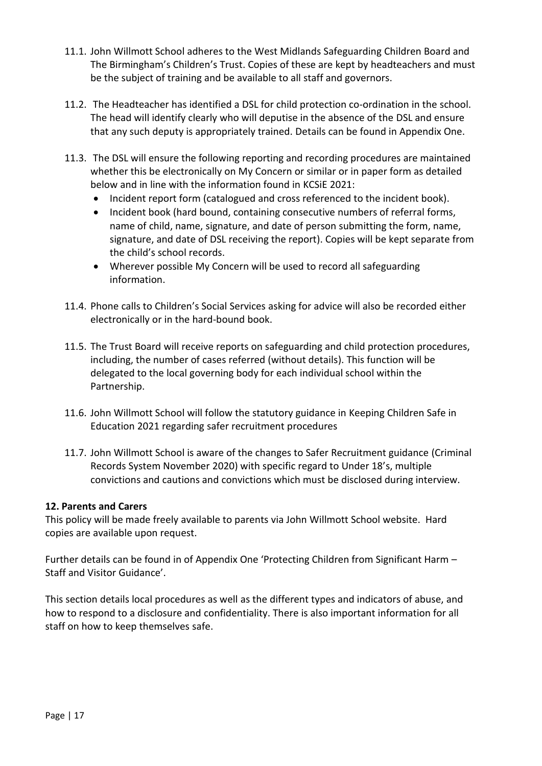- 11.1. John Willmott School adheres to the West Midlands Safeguarding Children Board and The Birmingham's Children's Trust. Copies of these are kept by headteachers and must be the subject of training and be available to all staff and governors.
- 11.2. The Headteacher has identified a DSL for child protection co-ordination in the school. The head will identify clearly who will deputise in the absence of the DSL and ensure that any such deputy is appropriately trained. Details can be found in Appendix One.
- 11.3. The DSL will ensure the following reporting and recording procedures are maintained whether this be electronically on My Concern or similar or in paper form as detailed below and in line with the information found in KCSiE 2021:
	- Incident report form (catalogued and cross referenced to the incident book).
	- Incident book (hard bound, containing consecutive numbers of referral forms, name of child, name, signature, and date of person submitting the form, name, signature, and date of DSL receiving the report). Copies will be kept separate from the child's school records.
	- Wherever possible My Concern will be used to record all safeguarding information.
- 11.4. Phone calls to Children's Social Services asking for advice will also be recorded either electronically or in the hard-bound book.
- 11.5. The Trust Board will receive reports on safeguarding and child protection procedures, including, the number of cases referred (without details). This function will be delegated to the local governing body for each individual school within the Partnership.
- 11.6. John Willmott School will follow the statutory guidance in Keeping Children Safe in Education 2021 regarding safer recruitment procedures
- 11.7. John Willmott School is aware of the changes to Safer Recruitment guidance (Criminal Records System November 2020) with specific regard to Under 18's, multiple convictions and cautions and convictions which must be disclosed during interview.

#### **12. Parents and Carers**

This policy will be made freely available to parents via John Willmott School website. Hard copies are available upon request.

Further details can be found in of Appendix One 'Protecting Children from Significant Harm – Staff and Visitor Guidance'.

This section details local procedures as well as the different types and indicators of abuse, and how to respond to a disclosure and confidentiality. There is also important information for all staff on how to keep themselves safe.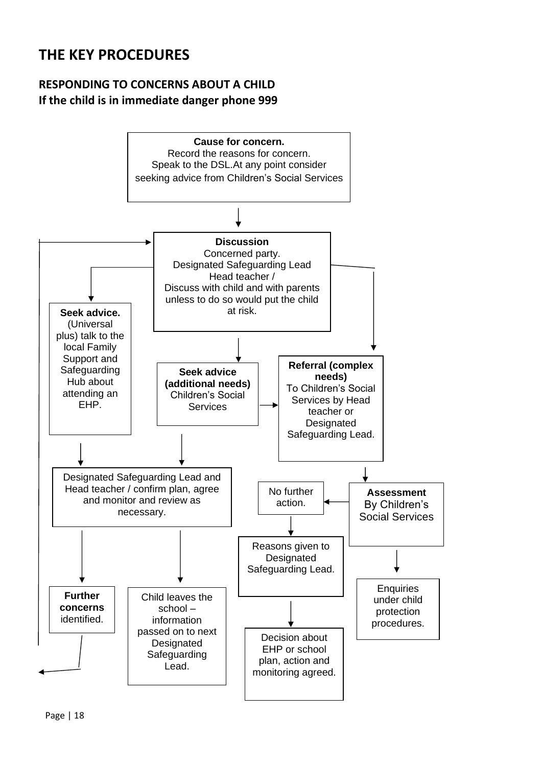## **THE KEY PROCEDURES**

## **RESPONDING TO CONCERNS ABOUT A CHILD If the child is in immediate danger phone 999**

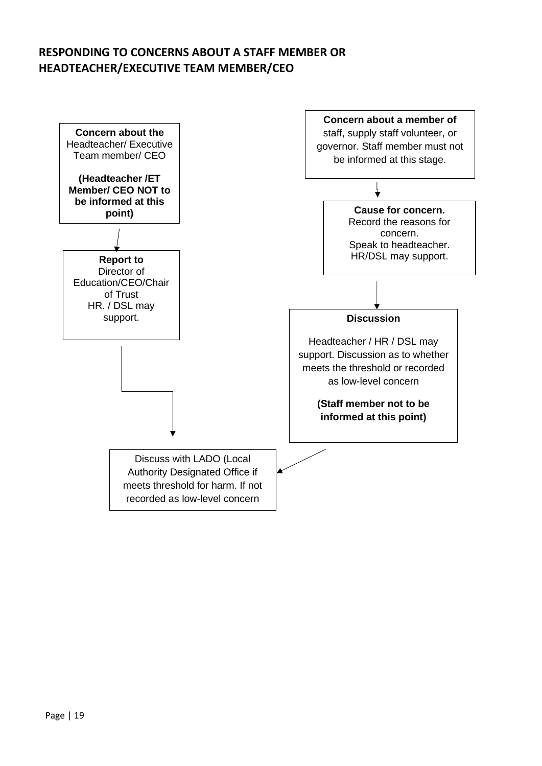### **RESPONDING TO CONCERNS ABOUT A STAFF MEMBER OR HEADTEACHER/EXECUTIVE TEAM MEMBER/CEO**

![](_page_18_Figure_1.jpeg)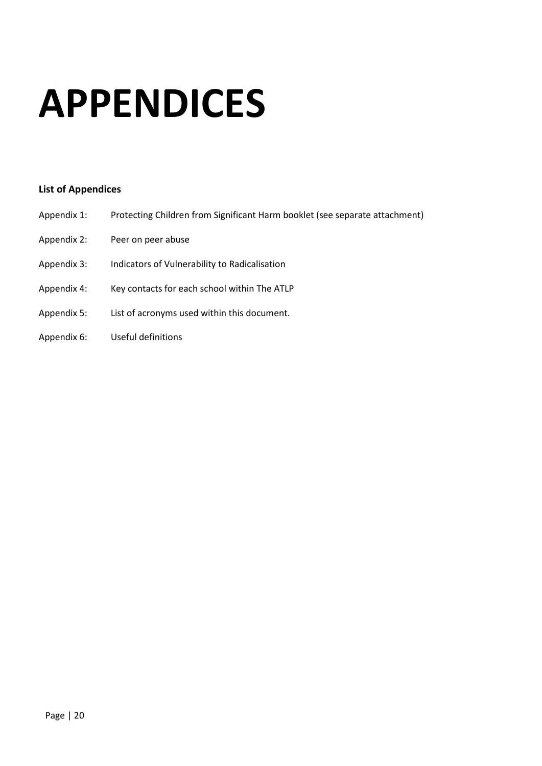# **APPENDICES**

#### **List of Appendices**

- Appendix 1: Protecting Children from Significant Harm booklet (see separate attachment)
- Appendix 2: Peer on peer abuse
- Appendix 3: Indicators of Vulnerability to Radicalisation
- Appendix 4: Key contacts for each school within The ATLP
- Appendix 5: List of acronyms used within this document.
- Appendix 6: Useful definitions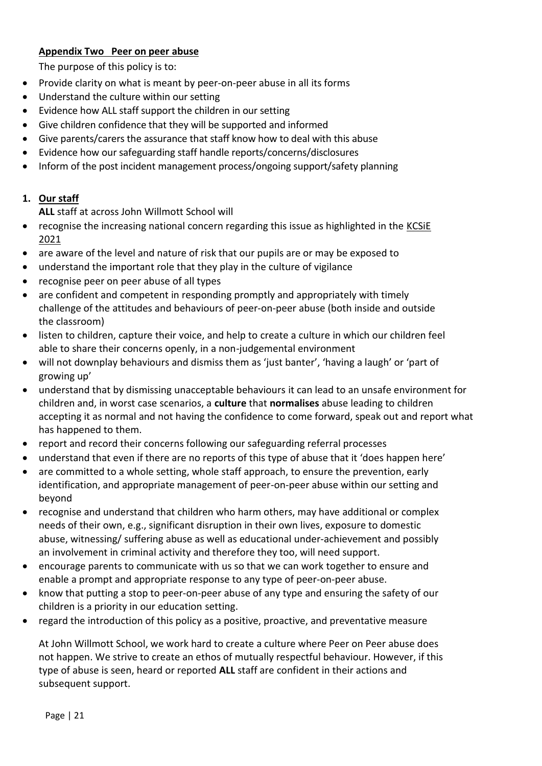#### **Appendix Two Peer on peer abuse**

The purpose of this policy is to:

- Provide clarity on what is meant by peer-on-peer abuse in all its forms
- Understand the culture within our setting
- Evidence how ALL staff support the children in our setting
- Give children confidence that they will be supported and informed
- Give parents/carers the assurance that staff know how to deal with this abuse
- Evidence how our safeguarding staff handle reports/concerns/disclosures
- Inform of the post incident management process/ongoing support/safety planning

#### **1. Our staff**

**ALL** staff at across John Willmott School will

- recognise the increasing national concern regarding this issue as highlighted in the [KCSiE](https://assets.publishing.service.gov.uk/government/uploads/system/uploads/attachment_data/file/1021914/KCSIE_2021_September_guidance.pdf)  [2021](https://assets.publishing.service.gov.uk/government/uploads/system/uploads/attachment_data/file/1021914/KCSIE_2021_September_guidance.pdf)
- are aware of the level and nature of risk that our pupils are or may be exposed to
- understand the important role that they play in the culture of vigilance
- recognise peer on peer abuse of all types
- are confident and competent in responding promptly and appropriately with timely challenge of the attitudes and behaviours of peer-on-peer abuse (both inside and outside the classroom)
- listen to children, capture their voice, and help to create a culture in which our children feel able to share their concerns openly, in a non-judgemental environment
- will not downplay behaviours and dismiss them as 'just banter', 'having a laugh' or 'part of growing up'
- understand that by dismissing unacceptable behaviours it can lead to an unsafe environment for children and, in worst case scenarios, a **culture** that **normalises** abuse leading to children accepting it as normal and not having the confidence to come forward, speak out and report what has happened to them.
- report and record their concerns following our safeguarding referral processes
- understand that even if there are no reports of this type of abuse that it 'does happen here'
- are committed to a whole setting, whole staff approach, to ensure the prevention, early identification, and appropriate management of peer-on-peer abuse within our setting and beyond
- recognise and understand that children who harm others, may have additional or complex needs of their own, e.g., significant disruption in their own lives, exposure to domestic abuse, witnessing/ suffering abuse as well as educational under-achievement and possibly an involvement in criminal activity and therefore they too, will need support.
- encourage parents to communicate with us so that we can work together to ensure and enable a prompt and appropriate response to any type of peer-on-peer abuse.
- know that putting a stop to peer-on-peer abuse of any type and ensuring the safety of our children is a priority in our education setting.
- regard the introduction of this policy as a positive, proactive, and preventative measure

At John Willmott School, we work hard to create a culture where Peer on Peer abuse does not happen. We strive to create an ethos of mutually respectful behaviour. However, if this type of abuse is seen, heard or reported **ALL** staff are confident in their actions and subsequent support.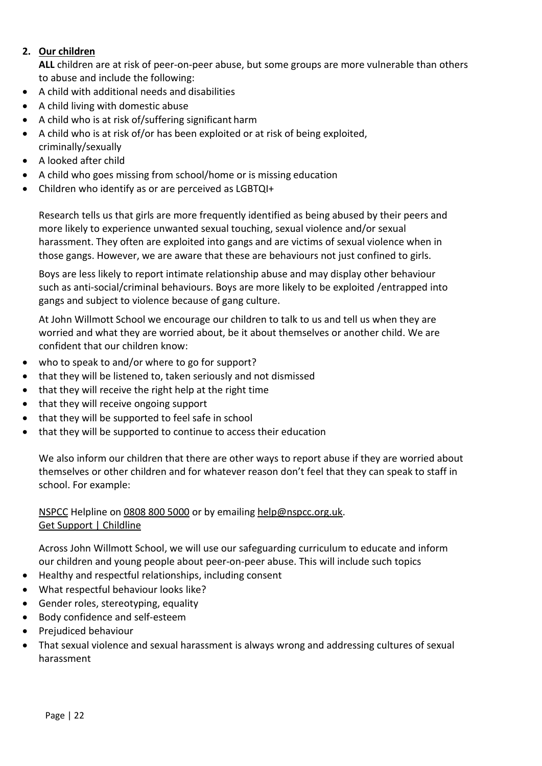#### **2. Our children**

**ALL** children are at risk of peer-on-peer abuse, but some groups are more vulnerable than others to abuse and include the following:

- A child with additional needs and disabilities
- A child living with domestic abuse
- A child who is at risk of/suffering significant harm
- A child who is at risk of/or has been exploited or at risk of being exploited, criminally/sexually
- A looked after child
- A child who goes missing from school/home or is missing education
- Children who identify as or are perceived as LGBTQI+

Research tells us that girls are more frequently identified as being abused by their peers and more likely to experience unwanted sexual touching, sexual violence and/or sexual harassment. They often are exploited into gangs and are victims of sexual violence when in those gangs. However, we are aware that these are behaviours not just confined to girls.

Boys are less likely to report intimate relationship abuse and may display other behaviour such as anti-social/criminal behaviours. Boys are more likely to be exploited /entrapped into gangs and subject to violence because of gang culture.

At John Willmott School we encourage our children to talk to us and tell us when they are worried and what they are worried about, be it about themselves or another child. We are confident that our children know:

- who to speak to and/or where to go for support?
- that they will be listened to, taken seriously and not dismissed
- that they will receive the right help at the right time
- that they will receive ongoing support
- that they will be supported to feel safe in school
- that they will be supported to continue to access their education

We also inform our children that there are other ways to report abuse if they are worried about themselves or other children and for whatever reason don't feel that they can speak to staff in school. For example:

#### [NSPCC](https://www.nspcc.org.uk/keeping-children-safe/reporting-abuse/) Helpline on [0808 800 5000](tel:08088005000) or by emailing [help@nspcc.org.uk.](mailto:help@nspcc.org.uk) [Get Support | Childline](https://www.childline.org.uk/get-support/)

Across John Willmott School, we will use our safeguarding curriculum to educate and inform our children and young people about peer-on-peer abuse. This will include such topics

- Healthy and respectful relationships, including consent
- What respectful behaviour looks like?
- Gender roles, stereotyping, equality
- Body confidence and self-esteem
- Prejudiced behaviour
- That sexual violence and sexual harassment is always wrong and addressing cultures of sexual harassment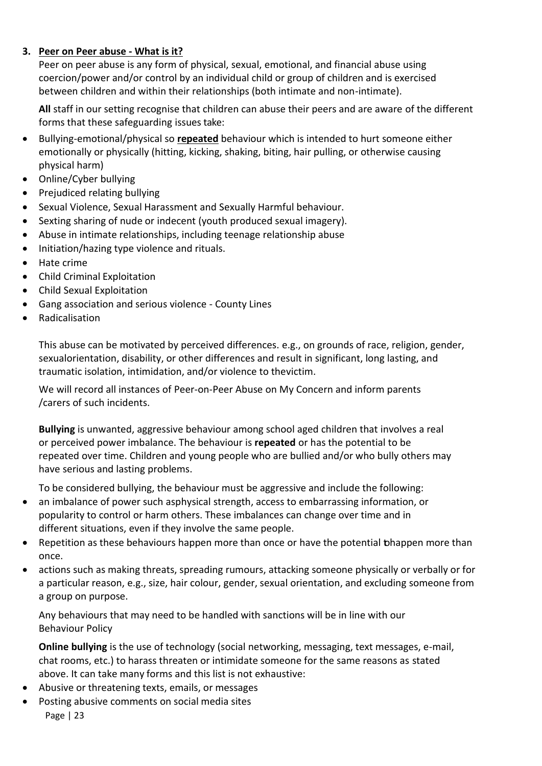#### **3. Peer on Peer abuse - What is it?**

Peer on peer abuse is any form of physical, sexual, emotional, and financial abuse using coercion/power and/or control by an individual child or group of children and is exercised between children and within their relationships (both intimate and non-intimate).

**All** staff in our setting recognise that children can abuse their peers and are aware of the different forms that these safeguarding issues take:

- Bullying-emotional/physical so **repeated** behaviour which is intended to hurt someone either emotionally or physically (hitting, kicking, shaking, biting, hair pulling, or otherwise causing physical harm)
- Online/Cyber bullying
- Prejudiced relating bullying
- Sexual Violence, Sexual Harassment and Sexually Harmful behaviour.
- Sexting sharing of nude or indecent (youth produced sexual imagery).
- Abuse in intimate relationships, including teenage relationship abuse
- Initiation/hazing type violence and rituals.
- Hate crime
- Child Criminal Exploitation
- Child Sexual Exploitation
- Gang association and serious violence County Lines
- Radicalisation

This abuse can be motivated by perceived differences. e.g., on grounds of race, religion, gender, sexual orientation, disability, or other differences and result in significant, long lasting, and traumatic isolation, intimidation, and/or violence to the victim.

We will record all instances of Peer-on-Peer Abuse on My Concern and inform parents /carers of such incidents.

**Bullying** is unwanted, aggressive behaviour among school aged children that involves a real or perceived power imbalance. The behaviour is **repeated** or has the potential to be repeated over time. Children and young people who are bullied and/or who bully others may have serious and lasting problems.

To be considered bullying, the behaviour must be aggressive and include the following:

- an imbalance of power such asphysical strength, access to embarrassing information, or popularity to control or harm others. These imbalances can change over time and in different situations, even if they involve the same people.
- Repetition as these behaviours happen more than once or have the potential tohappen more than once.
- actions such as making threats, spreading rumours, attacking someone physically or verbally or for a particular reason, e.g., size, hair colour, gender, sexual orientation, and excluding someone from a group on purpose.

Any behaviours that may need to be handled with sanctions will be in line with our Behaviour Policy

**Online bullying** is the use of technology (social networking, messaging, text messages, e-mail, chat rooms, etc.) to harass threaten or intimidate someone for the same reasons as stated above. It can take many forms and this list is not exhaustive:

- Abusive or threatening texts, emails, or messages
- Page | 23 • Posting abusive comments on social media sites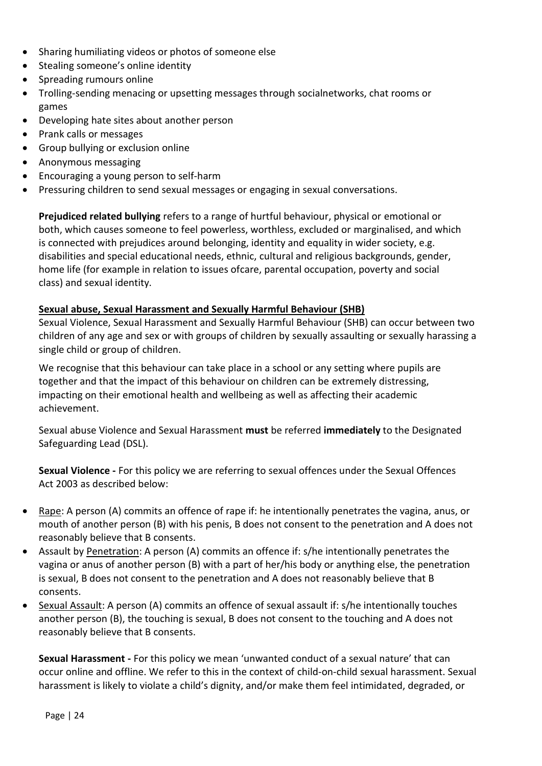- Sharing humiliating videos or photos of someone else
- Stealing someone's online identity
- Spreading rumours online
- Trolling-sending menacing or upsetting messages through socialnetworks, chat rooms or games
- Developing hate sites about another person
- Prank calls or messages
- Group bullying or exclusion online
- Anonymous messaging
- Encouraging a young person to self-harm
- Pressuring children to send sexual messages or engaging in sexual conversations.

**Prejudiced related bullying** refers to a range of hurtful behaviour, physical or emotional or both, which causes someone to feel powerless, worthless, excluded or marginalised, and which is connected with prejudices around belonging, identity and equality in wider society, e.g. disabilities and special educational needs, ethnic, cultural and religious backgrounds, gender, home life (for example in relation to issues of care, parental occupation, poverty and social class) and sexual identity.

#### **Sexual abuse, Sexual Harassment and Sexually Harmful Behaviour (SHB)**

Sexual Violence, Sexual Harassment and Sexually Harmful Behaviour (SHB) can occur between two children of any age and sex or with groups of children by sexually assaulting or sexually harassing a single child or group of children.

We recognise that this behaviour can take place in a school or any setting where pupils are together and that the impact of this behaviour on children can be extremely distressing, impacting on their emotional health and wellbeing as well as affecting their academic achievement.

Sexual abuse Violence and Sexual Harassment **must** be referred **immediately** to the Designated Safeguarding Lead (DSL).

**Sexual Violence -** For this policy we are referring to sexual offences under the Sexual Offences Act 2003 as described below:

- Rape: A person (A) commits an offence of rape if: he intentionally penetrates the vagina, anus, or mouth of another person (B) with his penis, B does not consent to the penetration and A does not reasonably believe that B consents.
- Assault by Penetration: A person (A) commits an offence if: s/he intentionally penetrates the vagina or anus of another person (B) with a part of her/his body or anything else, the penetration is sexual, B does not consent to the penetration and A does not reasonably believe that B consents.
- Sexual Assault: A person (A) commits an offence of sexual assault if: s/he intentionally touches another person (B), the touching is sexual, B does not consent to the touching and A does not reasonably believe that B consents.

**Sexual Harassment -** For this policy we mean 'unwanted conduct of a sexual nature' that can occur online and offline. We refer to this in the context of child-on-child sexual harassment. Sexual harassment is likely to violate a child's dignity, and/or make them feel intimidated, degraded, or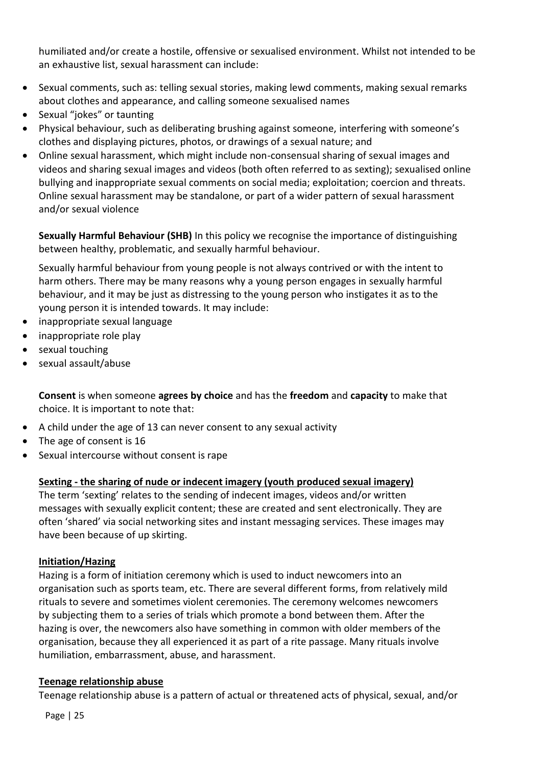humiliated and/or create a hostile, offensive or sexualised environment. Whilst not intended to be an exhaustive list, sexual harassment can include:

- Sexual comments, such as: telling sexual stories, making lewd comments, making sexual remarks about clothes and appearance, and calling someone sexualised names
- Sexual "jokes" or taunting
- Physical behaviour, such as deliberating brushing against someone, interfering with someone's clothes and displaying pictures, photos, or drawings of a sexual nature; and
- Online sexual harassment, which might include non-consensual sharing of sexual images and videos and sharing sexual images and videos (both often referred to as sexting); sexualised online bullying and inappropriate sexual comments on social media; exploitation; coercion and threats. Online sexual harassment may be standalone, or part of a wider pattern of sexual harassment and/or sexual violence

**Sexually Harmful Behaviour (SHB)** In this policy we recognise the importance of distinguishing between healthy, problematic, and sexually harmful behaviour.

Sexually harmful behaviour from young people is not always contrived or with the intent to harm others. There may be many reasons why a young person engages in sexually harmful behaviour, and it may be just as distressing to the young person who instigates it as to the young person it is intended towards. It may include:

- inappropriate sexual language
- inappropriate role play
- sexual touching
- sexual assault/abuse

**Consent** is when someone **agrees by choice** and has the **freedom** and **capacity** to make that choice. It is important to note that:

- A child under the age of 13 can never consent to any sexual activity
- The age of consent is 16
- Sexual intercourse without consent is rape

#### **Sexting - the sharing of nude or indecent imagery (youth produced sexual imagery)**

The term 'sexting' relates to the sending of indecent images, videos and/or written messages with sexually explicit content; these are created and sent electronically. They are often 'shared' via social networking sites and instant messaging services. These images may have been because of up skirting.

#### **Initiation/Hazing**

Hazing is a form of initiation ceremony which is used to induct newcomers into an organisation such as sports team, etc. There are several different forms, from relatively mild rituals to severe and sometimes violent ceremonies. The ceremony welcomes newcomers by subjecting them to a series of trials which promote a bond between them. After the hazing is over, the newcomers also have something in common with older members of the organisation, because they all experienced it as part of a rite passage. Many rituals involve humiliation, embarrassment, abuse, and harassment.

#### **Teenage relationship abuse**

Teenage relationship abuse is a pattern of actual or threatened acts of physical, sexual, and/or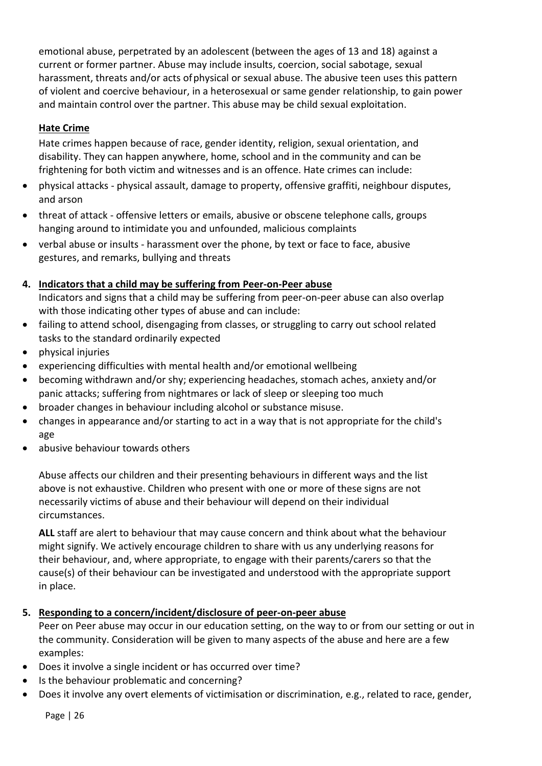emotional abuse, perpetrated by an adolescent (between the ages of 13 and 18) against a current or former partner. Abuse may include insults, coercion, social sabotage, sexual harassment, threats and/or acts of physical or sexual abuse. The abusive teen uses this pattern of violent and coercive behaviour, in a heterosexual or same gender relationship, to gain power and maintain control over the partner. This abuse may be child sexual exploitation.

#### **Hate Crime**

Hate crimes happen because of race, gender identity, religion, sexual orientation, and disability. They can happen anywhere, home, school and in the community and can be frightening for both victim and witnesses and is an offence. Hate crimes can include:

- physical attacks physical assault, damage to property, offensive graffiti, neighbour disputes, and arson
- threat of attack offensive letters or emails, abusive or obscene telephone calls, groups hanging around to intimidate you and unfounded, malicious complaints
- verbal abuse or insults harassment over the phone, by text or face to face, abusive gestures, and remarks, bullying and threats

#### **4. Indicators that a child may be suffering from Peer-on-Peer abuse**

Indicators and signs that a child may be suffering from peer-on-peer abuse can also overlap with those indicating other types of abuse and can include:

- failing to attend school, disengaging from classes, or struggling to carry out school related tasks to the standard ordinarily expected
- physical injuries
- experiencing difficulties with mental health and/or emotional wellbeing
- becoming withdrawn and/or shy; experiencing headaches, stomach aches, anxiety and/or panic attacks; suffering from nightmares or lack of sleep or sleeping too much
- broader changes in behaviour including alcohol or substance misuse.
- changes in appearance and/or starting to act in a way that is not appropriate for the child's age
- abusive behaviour towards others

Abuse affects our children and their presenting behaviours in different ways and the list above is not exhaustive. Children who present with one or more of these signs are not necessarily victims of abuse and their behaviour will depend on their individual circumstances.

**ALL** staff are alert to behaviour that may cause concern and think about what the behaviour might signify. We actively encourage children to share with us any underlying reasons for their behaviour, and, where appropriate, to engage with their parents/carers so that the cause(s) of their behaviour can be investigated and understood with the appropriate support in place.

**5. Responding to a concern/incident/disclosure of peer-on-peer abuse**

Peer on Peer abuse may occur in our education setting, on the way to or from our setting or out in the community. Consideration will be given to many aspects of the abuse and here are a few examples:

- Does it involve a single incident or has occurred over time?
- Is the behaviour problematic and concerning?
- Does it involve any overt elements of victimisation or discrimination, e.g., related to race, gender,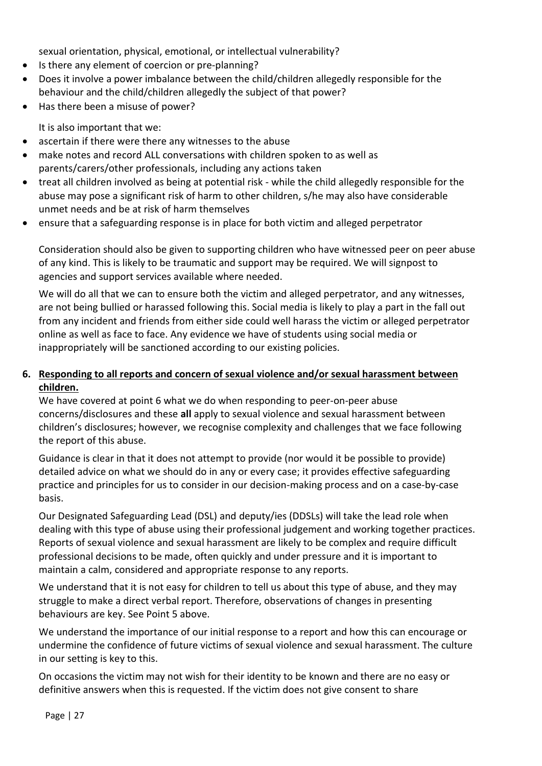sexual orientation, physical, emotional, or intellectual vulnerability?

- Is there any element of coercion or pre-planning?
- Does it involve a power imbalance between the child/children allegedly responsible for the behaviour and the child/children allegedly the subject of that power?
- Has there been a misuse of power?

It is also important that we:

- ascertain if there were there any witnesses to the abuse
- make notes and record ALL conversations with children spoken to as well as parents/carers/other professionals, including any actions taken
- treat all children involved as being at potential risk while the child allegedly responsible for the abuse may pose a significant risk of harm to other children, s/he may also have considerable unmet needs and be at risk of harm themselves
- ensure that a safeguarding response is in place for both victim and alleged perpetrator

Consideration should also be given to supporting children who have witnessed peer on peer abuse of any kind. This is likely to be traumatic and support may be required. We will signpost to agencies and support services available where needed.

We will do all that we can to ensure both the victim and alleged perpetrator, and any witnesses, are not being bullied or harassed following this. Social media is likely to play a part in the fall out from any incident and friends from either side could well harass the victim or alleged perpetrator online as well as face to face. Any evidence we have of students using social media or inappropriately will be sanctioned according to our existing policies.

#### **6. Responding to all reports and concern of sexual violence and/or sexual harassment between children.**

We have covered at point 6 what we do when responding to peer-on-peer abuse concerns/disclosures and these **all** apply to sexual violence and sexual harassment between children's disclosures; however, we recognise complexity and challenges that we face following the report of this abuse.

Guidance is clear in that it does not attempt to provide (nor would it be possible to provide) detailed advice on what we should do in any or every case; it provides effective safeguarding practice and principles for us to consider in our decision-making process and on a case-by-case basis.

Our Designated Safeguarding Lead (DSL) and deputy/ies (DDSLs) will take the lead role when dealing with this type of abuse using their professional judgement and working together practices. Reports of sexual violence and sexual harassment are likely to be complex and require difficult professional decisions to be made, often quickly and under pressure and it is important to maintain a calm, considered and appropriate response to any reports.

We understand that it is not easy for children to tell us about this type of abuse, and they may struggle to make a direct verbal report. Therefore, observations of changes in presenting behaviours are key. See Point 5 above.

We understand the importance of our initial response to a report and how this can encourage or undermine the confidence of future victims of sexual violence and sexual harassment. The culture in our setting is key to this.

On occasions the victim may not wish for their identity to be known and there are no easy or definitive answers when this is requested. If the victim does not give consent to share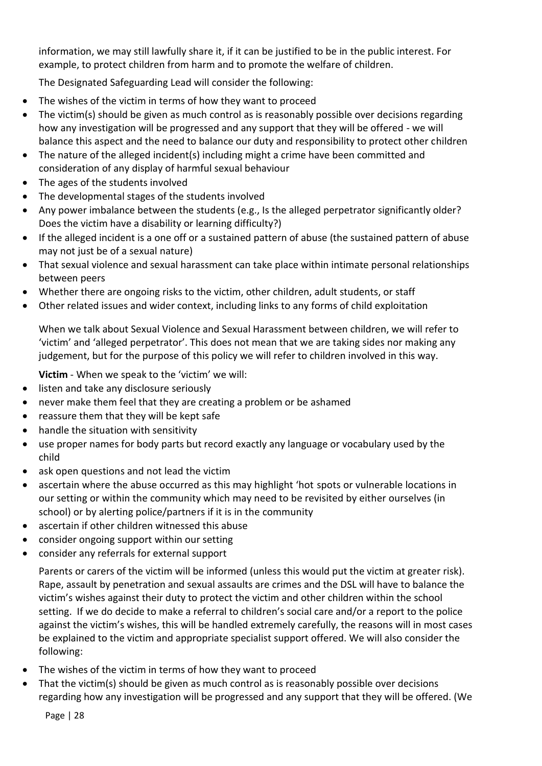information, we may still lawfully share it, if it can be justified to be in the public interest. For example, to protect children from harm and to promote the welfare of children.

The Designated Safeguarding Lead will consider the following:

- The wishes of the victim in terms of how they want to proceed
- The victim(s) should be given as much control as is reasonably possible over decisions regarding how any investigation will be progressed and any support that they will be offered - we will balance this aspect and the need to balance our duty and responsibility to protect other children
- The nature of the alleged incident(s) including might a crime have been committed and consideration of any display of harmful sexual behaviour
- The ages of the students involved
- The developmental stages of the students involved
- Any power imbalance between the students (e.g., Is the alleged perpetrator significantly older? Does the victim have a disability or learning difficulty?)
- If the alleged incident is a one off or a sustained pattern of abuse (the sustained pattern of abuse may not just be of a sexual nature)
- That sexual violence and sexual harassment can take place within intimate personal relationships between peers
- Whether there are ongoing risks to the victim, other children, adult students, or staff
- Other related issues and wider context, including links to any forms of child exploitation

When we talk about Sexual Violence and Sexual Harassment between children, we will refer to 'victim' and 'alleged perpetrator'. This does not mean that we are taking sides nor making any judgement, but for the purpose of this policy we will refer to children involved in this way.

**Victim** - When we speak to the 'victim' we will:

- listen and take any disclosure seriously
- never make them feel that they are creating a problem or be ashamed
- reassure them that they will be kept safe
- handle the situation with sensitivity
- use proper names for body parts but record exactly any language or vocabulary used by the child
- ask open questions and not lead the victim
- ascertain where the abuse occurred as this may highlight 'hot spots or vulnerable locations in our setting or within the community which may need to be revisited by either ourselves (in school) or by alerting police/partners if it is in the community
- ascertain if other children witnessed this abuse
- consider ongoing support within our setting
- consider any referrals for external support

Parents or carers of the victim will be informed (unless this would put the victim at greater risk). Rape, assault by penetration and sexual assaults are crimes and the DSL will have to balance the victim's wishes against their duty to protect the victim and other children within the school setting. If we do decide to make a referral to children's social care and/or a report to the police against the victim's wishes, this will be handled extremely carefully, the reasons will in most cases be explained to the victim and appropriate specialist support offered. We will also consider the following:

- The wishes of the victim in terms of how they want to proceed
- That the victim(s) should be given as much control as is reasonably possible over decisions regarding how any investigation will be progressed and any support that they will be offered. (We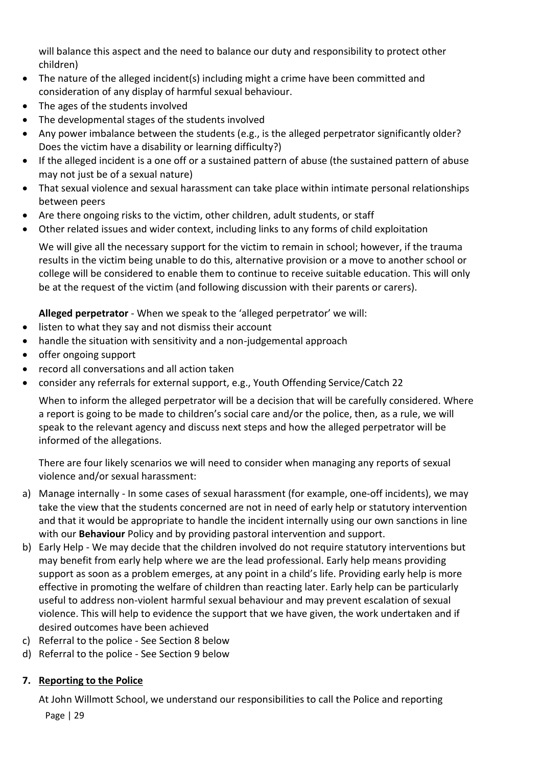will balance this aspect and the need to balance our duty and responsibility to protect other children)

- The nature of the alleged incident(s) including might a crime have been committed and consideration of any display of harmful sexual behaviour.
- The ages of the students involved
- The developmental stages of the students involved
- Any power imbalance between the students (e.g., is the alleged perpetrator significantly older? Does the victim have a disability or learning difficulty?)
- If the alleged incident is a one off or a sustained pattern of abuse (the sustained pattern of abuse may not just be of a sexual nature)
- That sexual violence and sexual harassment can take place within intimate personal relationships between peers
- Are there ongoing risks to the victim, other children, adult students, or staff
- Other related issues and wider context, including links to any forms of child exploitation

We will give all the necessary support for the victim to remain in school; however, if the trauma results in the victim being unable to do this, alternative provision or a move to another school or college will be considered to enable them to continue to receive suitable education. This will only be at the request of the victim (and following discussion with their parents or carers).

**Alleged perpetrator** - When we speak to the 'alleged perpetrator' we will:

- listen to what they say and not dismiss their account
- handle the situation with sensitivity and a non-judgemental approach
- offer ongoing support
- record all conversations and all action taken
- consider any referrals for external support, e.g., Youth Offending Service/Catch 22

When to inform the alleged perpetrator will be a decision that will be carefully considered. Where a report is going to be made to children's social care and/or the police, then, as a rule, we will speak to the relevant agency and discuss next steps and how the alleged perpetrator will be informed of the allegations.

There are four likely scenarios we will need to consider when managing any reports of sexual violence and/or sexual harassment:

- a) Manage internally In some cases of sexual harassment (for example, one-off incidents), we may take the view that the students concerned are not in need of early help or statutory intervention and that it would be appropriate to handle the incident internally using our own sanctions in line with our **Behaviour** Policy and by providing pastoral intervention and support.
- b) Early Help We may decide that the children involved do not require statutory interventions but may benefit from early help where we are the lead professional. Early help means providing support as soon as a problem emerges, at any point in a child's life. Providing early help is more effective in promoting the welfare of children than reacting later. Early help can be particularly useful to address non-violent harmful sexual behaviour and may prevent escalation of sexual violence. This will help to evidence the support that we have given, the work undertaken and if desired outcomes have been achieved
- c) Referral to the police See Section 8 below
- d) Referral to the police See Section 9 below

#### **7. Reporting to the Police**

At John Willmott School, we understand our responsibilities to call the Police and reporting

Page | 29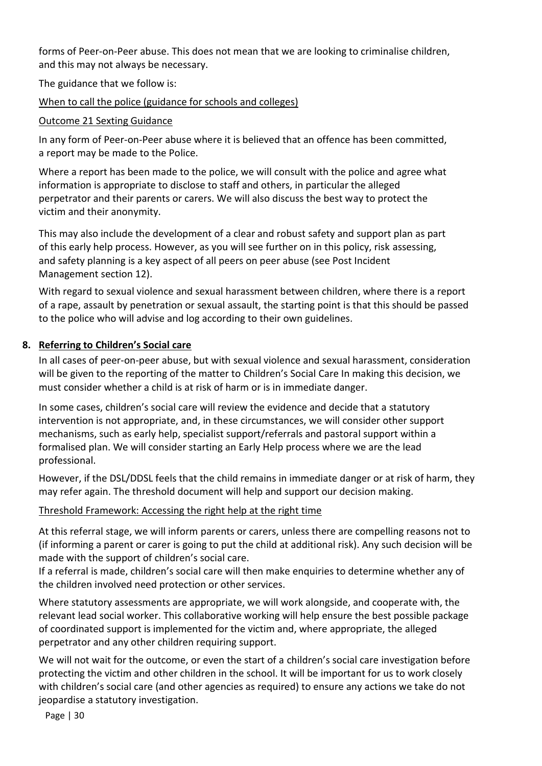forms of Peer-on-Peer abuse. This does not mean that we are looking to criminalise children, and this may not always be necessary.

The guidance that we follow is:

#### [When to call the police \(guidance for schools and colleges\)](https://www.npcc.police.uk/documents/Children%20and%20Young%20people/When%20to%20call%20police%20guidance%20for%20schools%20and%20colleges.pdf)

#### [Outcome 21 Sexting Guidance](https://assets.publishing.service.gov.uk/government/uploads/system/uploads/attachment_data/file/578979/GD8_-_Sexting_Guidance.pdf)

In any form of Peer-on-Peer abuse where it is believed that an offence has been committed, a report may be made to the Police.

Where a report has been made to the police, we will consult with the police and agree what information is appropriate to disclose to staff and others, in particular the alleged perpetrator and their parents or carers. We will also discuss the best way to protect the victim and their anonymity.

This may also include the development of a clear and robust safety and support plan as part of this early help process. However, as you will see further on in this policy, risk assessing, and safety planning is a key aspect of all peers on peer abuse (see Post Incident Management section 12).

With regard to sexual violence and sexual harassment between children, where there is a report of a rape, assault by penetration or sexual assault, the starting point is that this should be passed to the police who will advise and log according to their own guidelines.

#### **8. Referring to Children's Social care**

In all cases of peer-on-peer abuse, but with sexual violence and sexual harassment, consideration will be given to the reporting of the matter to Children's Social Care In making this decision, we must consider whether a child is at risk of harm or is in immediate danger.

In some cases, children's social care will review the evidence and decide that a statutory intervention is not appropriate, and, in these circumstances, we will consider other support mechanisms, such as early help, specialist support/referrals and pastoral support within a formalised plan. We will consider starting an Early Help process where we are the lead professional.

However, if the DSL/DDSL feels that the child remains in immediate danger or at risk of harm, they may refer again. The threshold document will help and support our decision making.

#### [Threshold Framework: Accessing the right help at the right time](https://www.staffsscb.org.uk/wp-content/uploads/2020/09/Threshold-Document.pdf)

At this referral stage, we will inform parents or carers, unless there are compelling reasons not to (if informing a parent or carer is going to put the child at additional risk). Any such decision will be made with the support of children's social care.

If a referral is made, children's social care will then make enquiries to determine whether any of the children involved need protection or other services.

Where statutory assessments are appropriate, we will work alongside, and cooperate with, the relevant lead social worker. This collaborative working will help ensure the best possible package of coordinated support is implemented for the victim and, where appropriate, the alleged perpetrator and any other children requiring support.

We will not wait for the outcome, or even the start of a children's social care investigation before protecting the victim and other children in the school. It will be important for us to work closely with children's social care (and other agencies as required) to ensure any actions we take do not jeopardise a statutory investigation.

Page | 30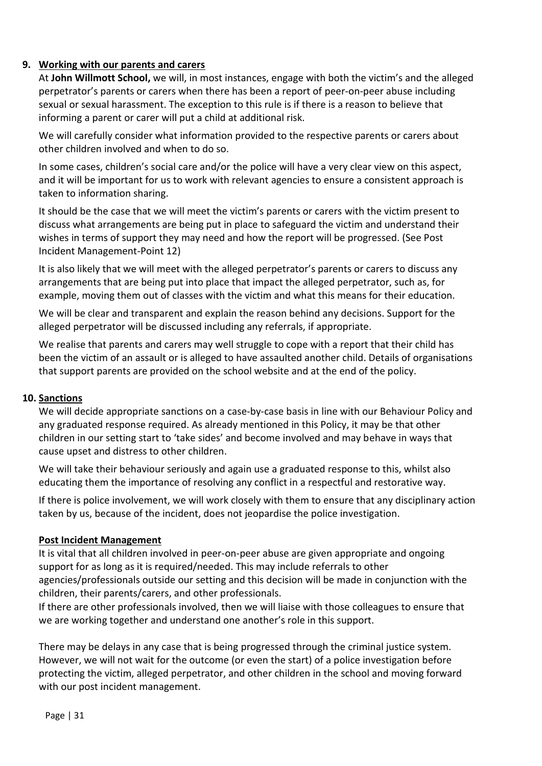#### **9. Working with our parents and carers**

At **John Willmott School,** we will, in most instances, engage with both the victim's and the alleged perpetrator's parents or carers when there has been a report of peer-on-peer abuse including sexual or sexual harassment. The exception to this rule is if there is a reason to believe that informing a parent or carer will put a child at additional risk.

We will carefully consider what information provided to the respective parents or carers about other children involved and when to do so.

In some cases, children's social care and/or the police will have a very clear view on this aspect, and it will be important for us to work with relevant agencies to ensure a consistent approach is taken to information sharing.

It should be the case that we will meet the victim's parents or carers with the victim present to discuss what arrangements are being put in place to safeguard the victim and understand their wishes in terms of support they may need and how the report will be progressed. (See Post Incident Management-Point 12)

It is also likely that we will meet with the alleged perpetrator's parents or carers to discuss any arrangements that are being put into place that impact the alleged perpetrator, such as, for example, moving them out of classes with the victim and what this means for their education.

We will be clear and transparent and explain the reason behind any decisions. Support for the alleged perpetrator will be discussed including any referrals, if appropriate.

We realise that parents and carers may well struggle to cope with a report that their child has been the victim of an assault or is alleged to have assaulted another child. Details of organisations that support parents are provided on the school website and at the end of the policy.

#### **10. Sanctions**

We will decide appropriate sanctions on a case-by-case basis in line with our Behaviour Policy and any graduated response required. As already mentioned in this Policy, it may be that other children in our setting start to 'take sides' and become involved and may behave in ways that cause upset and distress to other children.

We will take their behaviour seriously and again use a graduated response to this, whilst also educating them the importance of resolving any conflict in a respectful and restorative way.

If there is police involvement, we will work closely with them to ensure that any disciplinary action taken by us, because of the incident, does not jeopardise the police investigation.

#### **Post Incident Management**

It is vital that all children involved in peer-on-peer abuse are given appropriate and ongoing support for as long as it is required/needed. This may include referrals to other agencies/professionals outside our setting and this decision will be made in conjunction with the children, their parents/carers, and other professionals.

If there are other professionals involved, then we will liaise with those colleagues to ensure that we are working together and understand one another's role in this support.

There may be delays in any case that is being progressed through the criminal justice system. However, we will not wait for the outcome (or even the start) of a police investigation before protecting the victim, alleged perpetrator, and other children in the school and moving forward with our post incident management.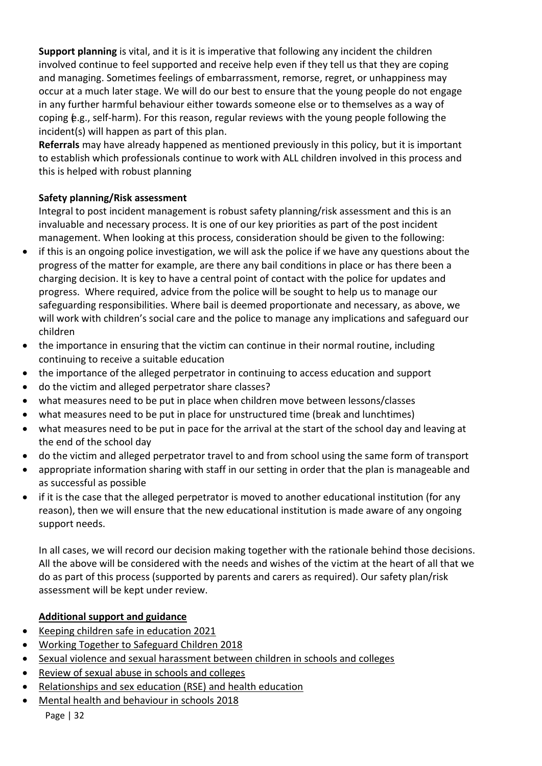**Support planning** is vital, and it is it is imperative that following any incident the children involved continue to feel supported and receive help even if they tell us that they are coping and managing. Sometimes feelings of embarrassment, remorse, regret, or unhappiness may occur at a much later stage. We will do our best to ensure that the young people do not engage in any further harmful behaviour either towards someone else or to themselves as a way of coping (e.g., self-harm). For this reason, regular reviews with the young people following the incident(s) will happen as part of this plan.

**Referrals** may have already happened as mentioned previously in this policy, but it is important to establish which professionals continue to work with ALL children involved in this process and this is helped with robust planning

#### **Safety planning/Risk assessment**

Integral to post incident management is robust safety planning/risk assessment and this is an invaluable and necessary process. It is one of our key priorities as part of the post incident management. When looking at this process, consideration should be given to the following:

- if this is an ongoing police investigation, we will ask the police if we have any questions about the progress of the matter for example, are there any bail conditions in place or has there been a charging decision. It is key to have a central point of contact with the police for updates and progress. Where required, advice from the police will be sought to help us to manage our safeguarding responsibilities. Where bail is deemed proportionate and necessary, as above, we will work with children's social care and the police to manage any implications and safeguard our children
- the importance in ensuring that the victim can continue in their normal routine, including continuing to receive a suitable education
- the importance of the alleged perpetrator in continuing to access education and support
- do the victim and alleged perpetrator share classes?
- what measures need to be put in place when children move between lessons/classes
- what measures need to be put in place for unstructured time (break and lunchtimes)
- what measures need to be put in pace for the arrival at the start of the school day and leaving at the end of the school day
- do the victim and alleged perpetrator travel to and from school using the same form of transport
- appropriate information sharing with staff in our setting in order that the plan is manageable and as successful as possible
- if it is the case that the alleged perpetrator is moved to another educational institution (for any reason), then we will ensure that the new educational institution is made aware of any ongoing support needs.

In all cases, we will record our decision making together with the rationale behind those decisions. All the above will be considered with the needs and wishes of the victim at the heart of all that we do as part of this process (supported by parents and carers as required). Our safety plan/risk assessment will be kept under review.

## **Additional support and guidance**

- [Keeping children safe in education 2021](https://assets.publishing.service.gov.uk/government/uploads/system/uploads/attachment_data/file/1007260/Keeping_children_safe_in_education_2021.pdf)
- [Working Together to Safeguard Children 2018](https://assets.publishing.service.gov.uk/government/uploads/system/uploads/attachment_data/file/942454/Working_together_to_safeguard_children_inter_agency_guidance.pdf)
- [Sexual violence and sexual harassment between children in schools and colleges](https://assets.publishing.service.gov.uk/government/uploads/system/uploads/attachment_data/file/999239/SVSH_2021.pdf)
- [Review of sexual abuse in schools and colleges](https://www.gov.uk/government/publications/review-of-sexual-abuse-in-schools-and-colleges/review-of-sexual-abuse-in-schools-and-colleges)
- [Relationships and sex education \(RSE\) and health education](https://www.gov.uk/government/publications/relationships-education-relationships-and-sex-education-rse-and-health-education)
- [Mental health and behaviour in schools 2018](https://assets.publishing.service.gov.uk/government/uploads/system/uploads/attachment_data/file/755135/Mental_health_and_behaviour_in_schools__.pdf)

Page | 32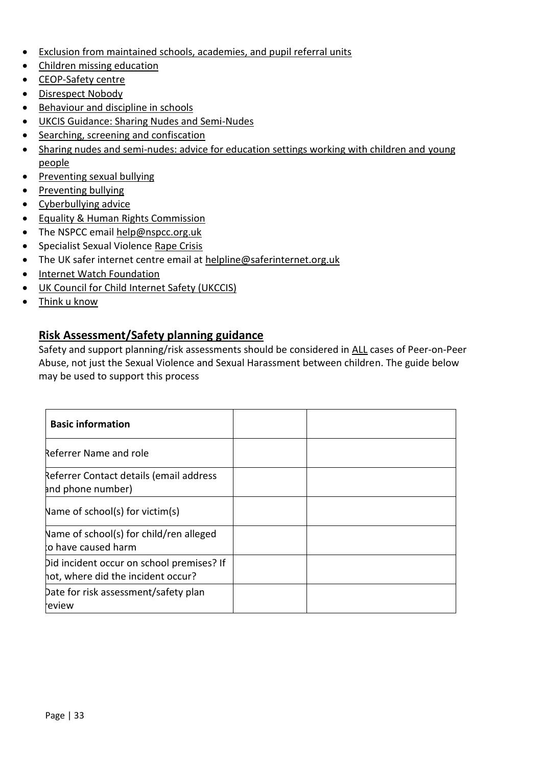- [Exclusion from maintained schools, academies, and pupil referral units](https://assets.publishing.service.gov.uk/government/uploads/system/uploads/attachment_data/file/921405/20170831_Exclusion_Stat_guidance_Web_version.pdf)
- [Children missing education](https://www.gov.uk/government/publications/children-missing-education)
- [CEOP-Safety centre](https://www.ceop.police.uk/Safety-Centre/)
- [Disrespect Nobody](https://www.disrespectnobody.co.uk/)
- [Behaviour and discipline in schools](https://www.gov.uk/government/publications/behaviour-and-discipline-in-schools)
- [UKCIS Guidance: Sharing Nudes and Semi-Nudes](https://oursaferschools.co.uk/2021/01/13/ukcis/)
- [Searching, screening and confiscation](https://assets.publishing.service.gov.uk/government/uploads/system/uploads/attachment_data/file/674416/Searching_screening_and_confiscation.pdf)
- [Sharing nudes and semi-nudes: advice for education settings working with children and young](https://www.gov.uk/government/publications/sharing-nudes-and-semi-nudes-advice-for-education-settings-working-with-children-and-young-people/sharing-nudes-and-semi-nudes-advice-for-education-settings-working-with-children-and-young-people)  [people](https://www.gov.uk/government/publications/sharing-nudes-and-semi-nudes-advice-for-education-settings-working-with-children-and-young-people/sharing-nudes-and-semi-nudes-advice-for-education-settings-working-with-children-and-young-people)
- [Preventing sexual bullying](https://anti-bullyingalliance.org.uk/tools-information/all-about-bullying/sexual-and-sexist-bullying/preventing-sexual-bullying)
- [Preventing bullying](https://www.gov.uk/government/publications/preventing-and-tackling-bullying)
- [Cyberbullying advice](https://assets.publishing.service.gov.uk/government/uploads/system/uploads/attachment_data/file/374850/Cyberbullying_Advice_for_Headteachers_and_School_Staff_121114.pdf)
- [Equality & Human Rights Commission](https://www.equalityhumanrights.com/sites/default/files/what_equality_law_means_for_you_as_an_education_provider_schools.pdf)
- The NSPCC email [help@nspcc.org.uk](mailto:help@nspcc.org.uk)
- Specialist Sexual Violenc[e Rape Crisis](https://rapecrisis.org.uk/)
- The UK safer internet centre email at helpline@saferinternet.org.uk
- [Internet Watch Foundation](https://www.iwf.org.uk/)
- [UK Council for Child Internet Safety \(UKCCIS\)](https://www.gov.uk/government/groups/uk-council-for-child-internet-safety-ukccis)
- [Think u know](https://www.thinkuknow.co.uk/)

#### **Risk Assessment/Safety planning guidance**

Safety and support planning/risk assessments should be considered in ALL cases of Peer-on-Peer Abuse, not just the Sexual Violence and Sexual Harassment between children. The guide below may be used to support this process

| <b>Basic information</b>                                                        |  |
|---------------------------------------------------------------------------------|--|
| Referrer Name and role                                                          |  |
| Referrer Contact details (email address<br>and phone number)                    |  |
| Name of school(s) for victim(s)                                                 |  |
| Name of school(s) for child/ren alleged<br>to have caused harm                  |  |
| Did incident occur on school premises? If<br>hot, where did the incident occur? |  |
| Date for risk assessment/safety plan<br>review                                  |  |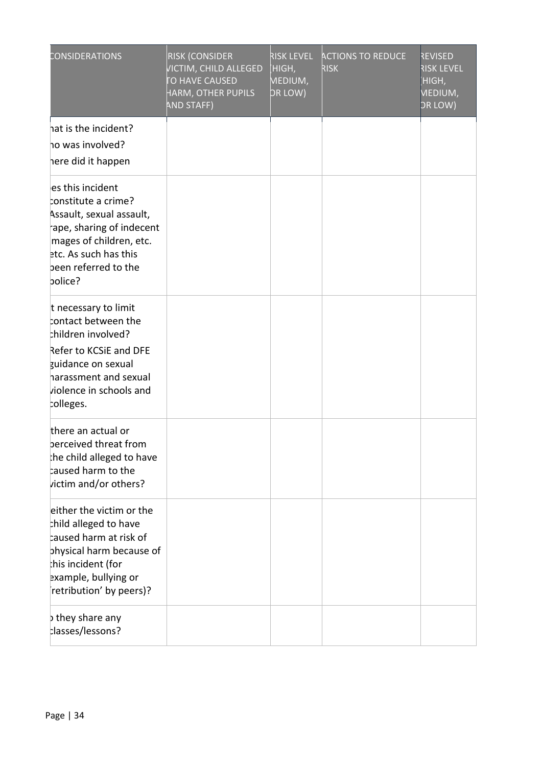| CONSIDERATIONS                                                                                                                                                                             | <b>RISK (CONSIDER</b><br>VICTIM, CHILD ALLEGED<br>TO HAVE CAUSED<br>HARM, OTHER PUPILS<br>AND STAFF) | <b>RISK LEVEL</b><br>HIGH,<br>MEDIUM,<br>DR LOW) | <b>ACTIONS TO REDUCE</b><br><b>RISK</b> | <b>REVISED</b><br><b>RISK LEVEL</b><br>HIGH,<br>MEDIUM,<br><b>DR LOW)</b> |
|--------------------------------------------------------------------------------------------------------------------------------------------------------------------------------------------|------------------------------------------------------------------------------------------------------|--------------------------------------------------|-----------------------------------------|---------------------------------------------------------------------------|
| hat is the incident?<br>ho was involved?<br>here did it happen                                                                                                                             |                                                                                                      |                                                  |                                         |                                                                           |
| es this incident<br>constitute a crime?<br>Assault, sexual assault,<br>ape, sharing of indecent<br>mages of children, etc.<br>etc. As such has this<br>been referred to the<br>bolice?     |                                                                                                      |                                                  |                                         |                                                                           |
| t necessary to limit<br>contact between the<br>children involved?<br>Refer to KCSiE and DFE<br>guidance on sexual<br>harassment and sexual<br>violence in schools and<br>colleges.         |                                                                                                      |                                                  |                                         |                                                                           |
| there an actual or<br>berceived threat from<br>he child alleged to have<br>caused harm to the<br>victim and/or others?                                                                     |                                                                                                      |                                                  |                                         |                                                                           |
| either the victim or the<br>thild alleged to have<br>$\natural$ aused harm at risk of<br>physical harm because of<br>his incident (for:<br>example, bullying or<br>retribution' by peers)? |                                                                                                      |                                                  |                                         |                                                                           |
| they share any<br>classes/lessons?                                                                                                                                                         |                                                                                                      |                                                  |                                         |                                                                           |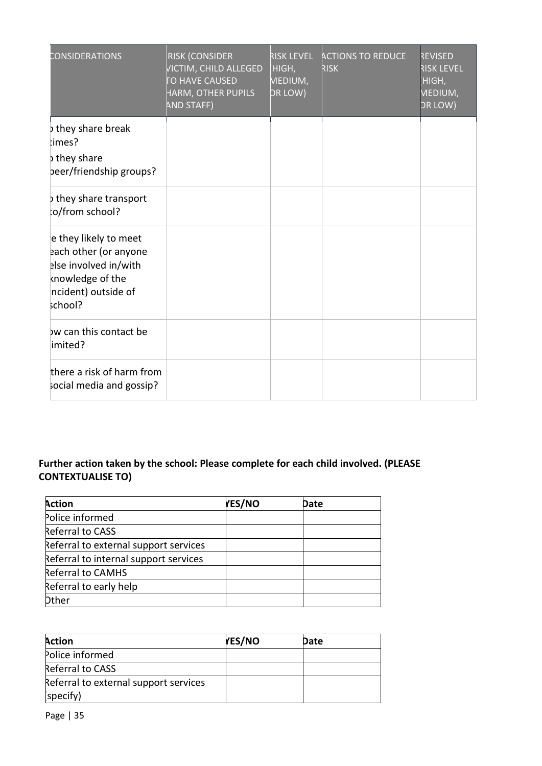| CONSIDERATIONS                                                                                                                | <b>RISK (CONSIDER</b><br><b>VICTIM, CHILD ALLEGED</b><br><b>TO HAVE CAUSED</b><br>HARM, OTHER PUPILS<br><b>AND STAFF)</b> | <b>RISK LEVEL</b><br>HIGH,<br>MEDIUM,<br>DR LOW) | <b>ACTIONS TO REDUCE</b><br><b>RISK</b> | <b>REVISED</b><br><b>RISK LEVEL</b><br>HIGH,<br><b>MEDIUM,</b><br>OR LOW) |
|-------------------------------------------------------------------------------------------------------------------------------|---------------------------------------------------------------------------------------------------------------------------|--------------------------------------------------|-----------------------------------------|---------------------------------------------------------------------------|
| they share break<br>limes?<br>they share<br>beer/friendship groups?                                                           |                                                                                                                           |                                                  |                                         |                                                                           |
| they share transport<br>o/from school?                                                                                        |                                                                                                                           |                                                  |                                         |                                                                           |
| e they likely to meet<br>each other (or anyone<br>else involved in/with<br>knowledge of the<br>ncident) outside of<br>school? |                                                                                                                           |                                                  |                                         |                                                                           |
| bw can this contact be<br>imited?                                                                                             |                                                                                                                           |                                                  |                                         |                                                                           |
| there a risk of harm from<br>social media and gossip?                                                                         |                                                                                                                           |                                                  |                                         |                                                                           |

## **Further action taken by the school: Please complete for each child involved. (PLEASE CONTEXTUALISE TO)**

| <b>Action</b>                         | <b>YES/NO</b> | Date |
|---------------------------------------|---------------|------|
| Police informed                       |               |      |
| <b>Referral to CASS</b>               |               |      |
| Referral to external support services |               |      |
| Referral to internal support services |               |      |
| <b>Referral to CAMHS</b>              |               |      |
| Referral to early help                |               |      |
| <b>Dther</b>                          |               |      |

| <b>Action</b>                         | <b>YES/NO</b> | Date |  |
|---------------------------------------|---------------|------|--|
| Police informed                       |               |      |  |
| Referral to CASS                      |               |      |  |
| Referral to external support services |               |      |  |
| (specify)                             |               |      |  |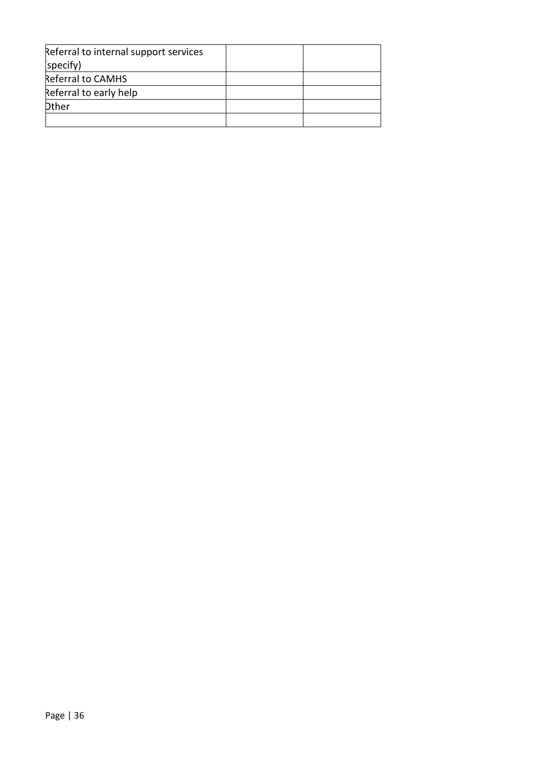| Referral to internal support services |  |
|---------------------------------------|--|
| (specify)                             |  |
| Referral to CAMHS                     |  |
| Referral to early help                |  |
| <b>Dther</b>                          |  |
|                                       |  |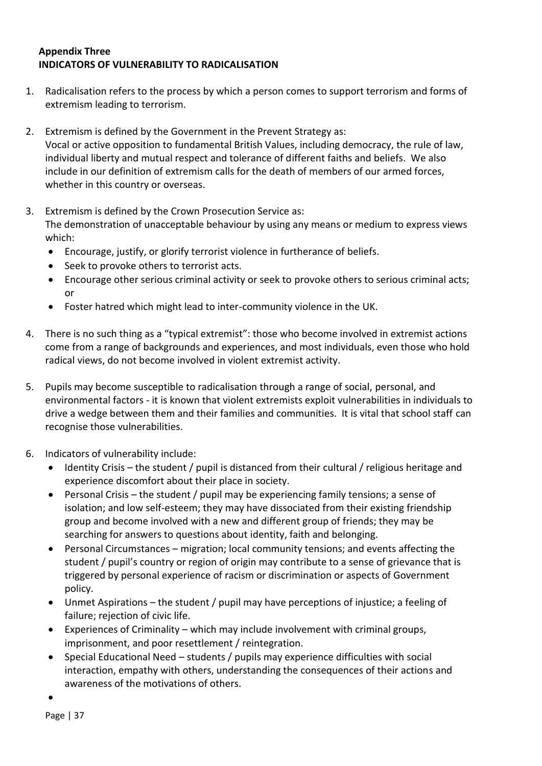#### **Appendix Three INDICATORS OF VULNERABILITY TO RADICALISATION**

- 1. Radicalisation refers to the process by which a person comes to support terrorism and forms of extremism leading to terrorism.
- 2. Extremism is defined by the Government in the Prevent Strategy as: Vocal or active opposition to fundamental British Values, including democracy, the rule of law, individual liberty and mutual respect and tolerance of different faiths and beliefs. We also include in our definition of extremism calls for the death of members of our armed forces, whether in this country or overseas.
- 3. Extremism is defined by the Crown Prosecution Service as:

The demonstration of unacceptable behaviour by using any means or medium to express views which:

- Encourage, justify, or glorify terrorist violence in furtherance of beliefs.
- Seek to provoke others to terrorist acts.
- Encourage other serious criminal activity or seek to provoke others to serious criminal acts; or
- Foster hatred which might lead to inter-community violence in the UK.
- 4. There is no such thing as a "typical extremist": those who become involved in extremist actions come from a range of backgrounds and experiences, and most individuals, even those who hold radical views, do not become involved in violent extremist activity.
- 5. Pupils may become susceptible to radicalisation through a range of social, personal, and environmental factors - it is known that violent extremists exploit vulnerabilities in individuals to drive a wedge between them and their families and communities. It is vital that school staff can recognise those vulnerabilities.
- 6. Indicators of vulnerability include:
	- Identity Crisis the student / pupil is distanced from their cultural / religious heritage and experience discomfort about their place in society.
	- Personal Crisis the student / pupil may be experiencing family tensions; a sense of isolation; and low self-esteem; they may have dissociated from their existing friendship group and become involved with a new and different group of friends; they may be searching for answers to questions about identity, faith and belonging.
	- Personal Circumstances migration; local community tensions; and events affecting the student / pupil's country or region of origin may contribute to a sense of grievance that is triggered by personal experience of racism or discrimination or aspects of Government policy.
	- Unmet Aspirations the student / pupil may have perceptions of injustice; a feeling of failure; rejection of civic life.
	- Experiences of Criminality which may include involvement with criminal groups, imprisonment, and poor resettlement / reintegration.
	- Special Educational Need students / pupils may experience difficulties with social interaction, empathy with others, understanding the consequences of their actions and awareness of the motivations of others.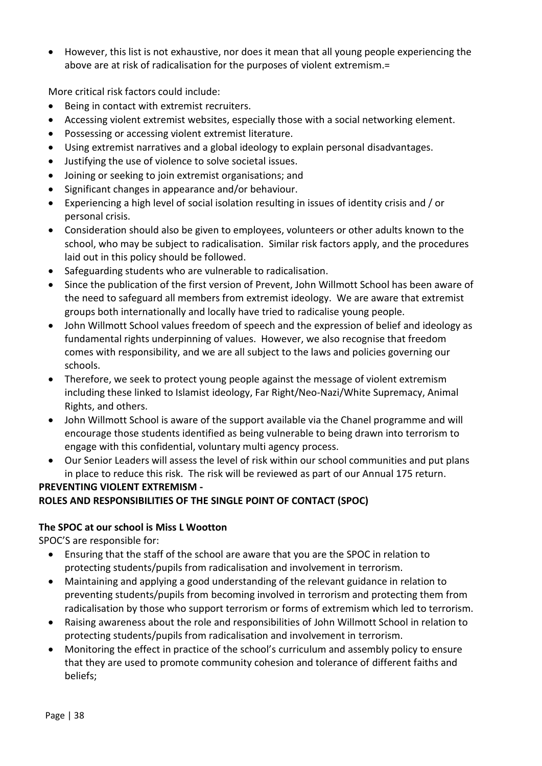• However, this list is not exhaustive, nor does it mean that all young people experiencing the above are at risk of radicalisation for the purposes of violent extremism.=

More critical risk factors could include:

- Being in contact with extremist recruiters.
- Accessing violent extremist websites, especially those with a social networking element.
- Possessing or accessing violent extremist literature.
- Using extremist narratives and a global ideology to explain personal disadvantages.
- Justifying the use of violence to solve societal issues.
- Joining or seeking to join extremist organisations; and
- Significant changes in appearance and/or behaviour.
- Experiencing a high level of social isolation resulting in issues of identity crisis and / or personal crisis.
- Consideration should also be given to employees, volunteers or other adults known to the school, who may be subject to radicalisation. Similar risk factors apply, and the procedures laid out in this policy should be followed.
- Safeguarding students who are vulnerable to radicalisation.
- Since the publication of the first version of Prevent, John Willmott School has been aware of the need to safeguard all members from extremist ideology. We are aware that extremist groups both internationally and locally have tried to radicalise young people.
- John Willmott School values freedom of speech and the expression of belief and ideology as fundamental rights underpinning of values. However, we also recognise that freedom comes with responsibility, and we are all subject to the laws and policies governing our schools.
- Therefore, we seek to protect young people against the message of violent extremism including these linked to Islamist ideology, Far Right/Neo-Nazi/White Supremacy, Animal Rights, and others.
- John Willmott School is aware of the support available via the Chanel programme and will encourage those students identified as being vulnerable to being drawn into terrorism to engage with this confidential, voluntary multi agency process.
- Our Senior Leaders will assess the level of risk within our school communities and put plans in place to reduce this risk. The risk will be reviewed as part of our Annual 175 return. **PREVENTING VIOLENT EXTREMISM -**

## **ROLES AND RESPONSIBILITIES OF THE SINGLE POINT OF CONTACT (SPOC)**

#### **The SPOC at our school is Miss L Wootton**

SPOC'S are responsible for:

- Ensuring that the staff of the school are aware that you are the SPOC in relation to protecting students/pupils from radicalisation and involvement in terrorism.
- Maintaining and applying a good understanding of the relevant guidance in relation to preventing students/pupils from becoming involved in terrorism and protecting them from radicalisation by those who support terrorism or forms of extremism which led to terrorism.
- Raising awareness about the role and responsibilities of John Willmott School in relation to protecting students/pupils from radicalisation and involvement in terrorism.
- Monitoring the effect in practice of the school's curriculum and assembly policy to ensure that they are used to promote community cohesion and tolerance of different faiths and beliefs;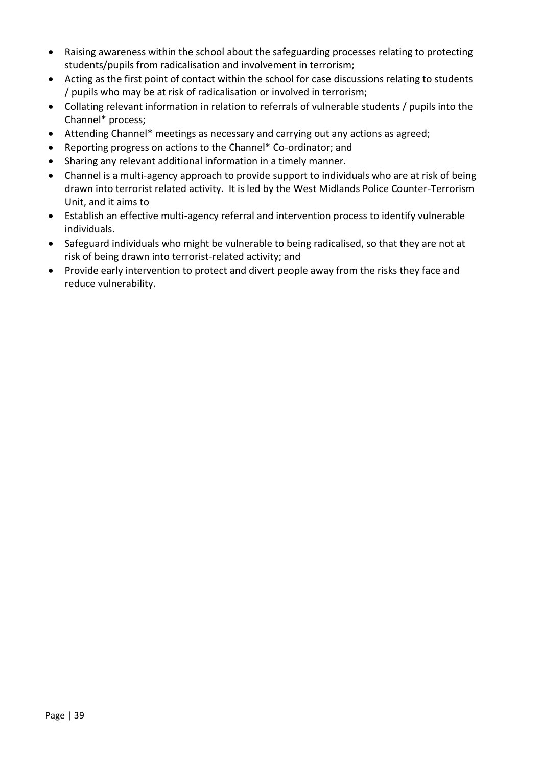- Raising awareness within the school about the safeguarding processes relating to protecting students/pupils from radicalisation and involvement in terrorism;
- Acting as the first point of contact within the school for case discussions relating to students / pupils who may be at risk of radicalisation or involved in terrorism;
- Collating relevant information in relation to referrals of vulnerable students / pupils into the Channel\* process;
- Attending Channel\* meetings as necessary and carrying out any actions as agreed;
- Reporting progress on actions to the Channel\* Co-ordinator; and
- Sharing any relevant additional information in a timely manner.
- Channel is a multi-agency approach to provide support to individuals who are at risk of being drawn into terrorist related activity. It is led by the West Midlands Police Counter-Terrorism Unit, and it aims to
- Establish an effective multi-agency referral and intervention process to identify vulnerable individuals.
- Safeguard individuals who might be vulnerable to being radicalised, so that they are not at risk of being drawn into terrorist-related activity; and
- Provide early intervention to protect and divert people away from the risks they face and reduce vulnerability.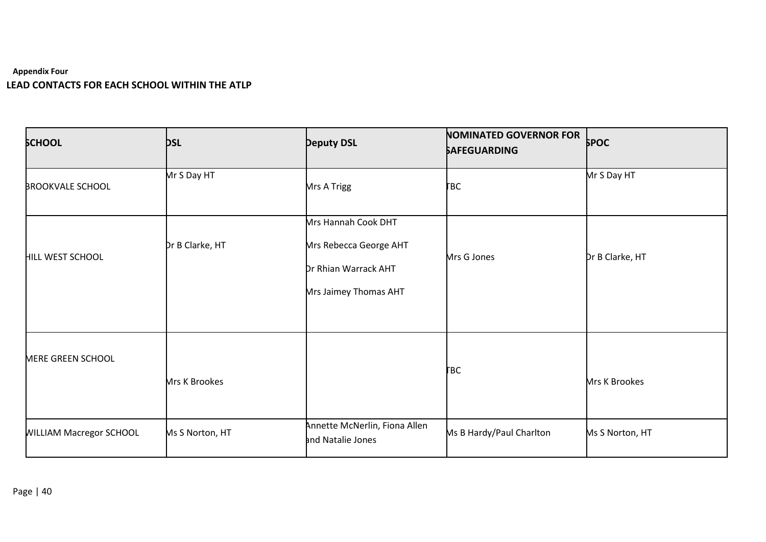#### **Appendix Four LEAD CONTACTS FOR EACH SCHOOL WITHIN THE ATLP**

| <b>SCHOOL</b>                  | <b>DSL</b>           | <b>Deputy DSL</b>                                                                              | <b>NOMINATED GOVERNOR FOR</b><br><b>SAFEGUARDING</b> | <b>SPOC</b>          |
|--------------------------------|----------------------|------------------------------------------------------------------------------------------------|------------------------------------------------------|----------------------|
| <b>BROOKVALE SCHOOL</b>        | Mr S Day HT          | Mrs A Trigg                                                                                    | <b>FBC</b>                                           | Mr S Day HT          |
| <b>HILL WEST SCHOOL</b>        | Dr B Clarke, HT      | Mrs Hannah Cook DHT<br>Mrs Rebecca George AHT<br>Dr Rhian Warrack AHT<br>Mrs Jaimey Thomas AHT | Mrs G Jones                                          | Dr B Clarke, HT      |
| MERE GREEN SCHOOL              | <b>Mrs K Brookes</b> |                                                                                                | <b>FBC</b>                                           | <b>Mrs K Brookes</b> |
| <b>WILLIAM Macregor SCHOOL</b> | Ms S Norton, HT      | Annette McNerlin, Fiona Allen<br>and Natalie Jones                                             | Ms B Hardy/Paul Charlton                             | Ms S Norton, HT      |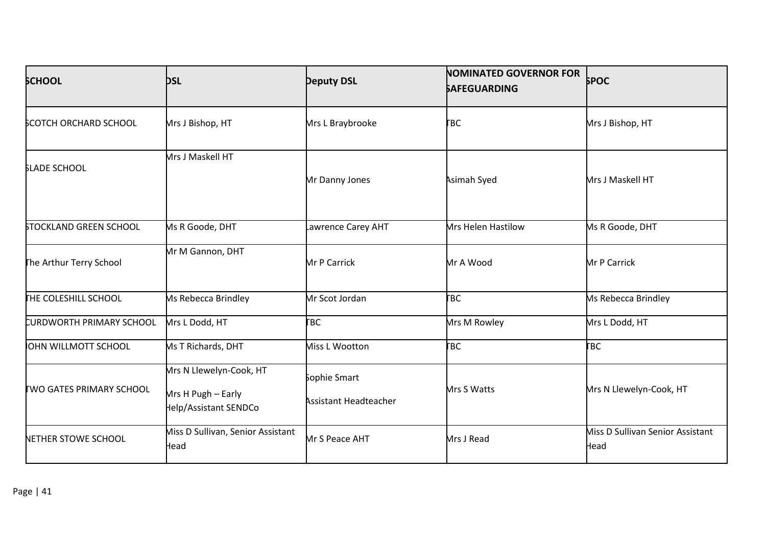| <b>SCHOOL</b>                   | <b>DSL</b>                                                             | <b>Deputy DSL</b>                            | <b>NOMINATED GOVERNOR FOR</b><br><b>SAFEGUARDING</b> | <b>SPOC</b>                              |
|---------------------------------|------------------------------------------------------------------------|----------------------------------------------|------------------------------------------------------|------------------------------------------|
| <b>SCOTCH ORCHARD SCHOOL</b>    | Mrs J Bishop, HT                                                       | Mrs L Braybrooke                             | <b>FBC</b>                                           | Mrs J Bishop, HT                         |
| <b>SLADE SCHOOL</b>             | Mrs J Maskell HT                                                       | Mr Danny Jones                               | Asimah Syed                                          | Mrs J Maskell HT                         |
| <b>STOCKLAND GREEN SCHOOL</b>   | <b>Ms R Goode, DHT</b>                                                 | awrence Carey AHT                            | <b>Mrs Helen Hastilow</b>                            | Ms R Goode, DHT                          |
| The Arthur Terry School         | Mr M Gannon, DHT                                                       | <b>Mr P Carrick</b>                          | Mr A Wood                                            | Mr P Carrick                             |
| <b>THE COLESHILL SCHOOL</b>     | <b>Ms Rebecca Brindley</b>                                             | Mr Scot Jordan                               | <b>FBC</b>                                           | <b>Ms Rebecca Brindley</b>               |
| CURDWORTH PRIMARY SCHOOL        | Mrs L Dodd, HT                                                         | <b>FBC</b>                                   | Mrs M Rowley                                         | Mrs L Dodd, HT                           |
| OHN WILLMOTT SCHOOL             | Ms T Richards, DHT                                                     | Miss L Wootton                               | <b>FBC</b>                                           | <b>FBC</b>                               |
| <b>TWO GATES PRIMARY SCHOOL</b> | Mrs N Llewelyn-Cook, HT<br>Mrs H Pugh - Early<br>Help/Assistant SENDCo | Sophie Smart<br><b>Assistant Headteacher</b> | Mrs S Watts                                          | Mrs N Llewelyn-Cook, HT                  |
| NETHER STOWE SCHOOL             | Miss D Sullivan, Senior Assistant<br>Head                              | Mr S Peace AHT                               | Mrs J Read                                           | Miss D Sullivan Senior Assistant<br>Head |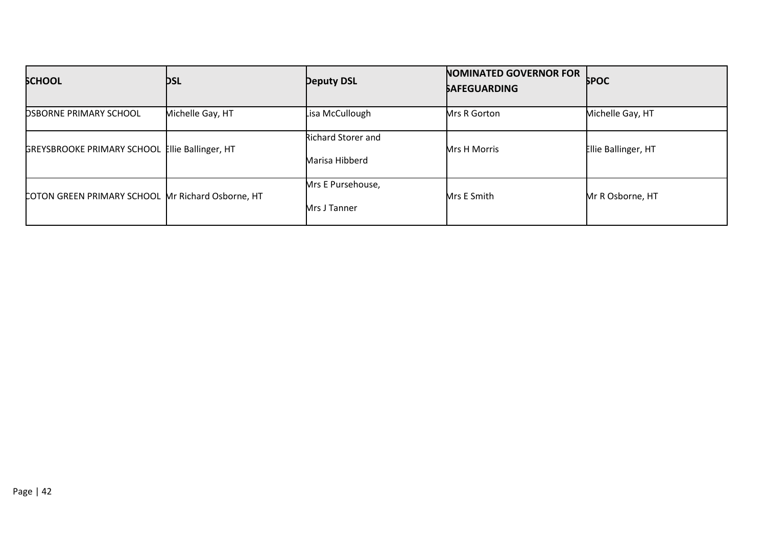| <b>SCHOOL</b>                                     | <b>DSL</b>       | <b>Deputy DSL</b>                           | <b>NOMINATED GOVERNOR FOR</b><br><b>SAFEGUARDING</b> | <b>SPOC</b>         |
|---------------------------------------------------|------------------|---------------------------------------------|------------------------------------------------------|---------------------|
| <b>DSBORNE PRIMARY SCHOOL</b>                     | Michelle Gay, HT | Lisa McCullough                             | Mrs R Gorton                                         | Michelle Gay, HT    |
| GREYSBROOKE PRIMARY SCHOOL Ellie Ballinger, HT    |                  | <b>Richard Storer and</b><br>Marisa Hibberd | Mrs H Morris                                         | Ellie Ballinger, HT |
| COTON GREEN PRIMARY SCHOOL Mr Richard Osborne, HT |                  | Mrs E Pursehouse,<br>Mrs J Tanner           | Mrs E Smith                                          | Mr R Osborne, HT    |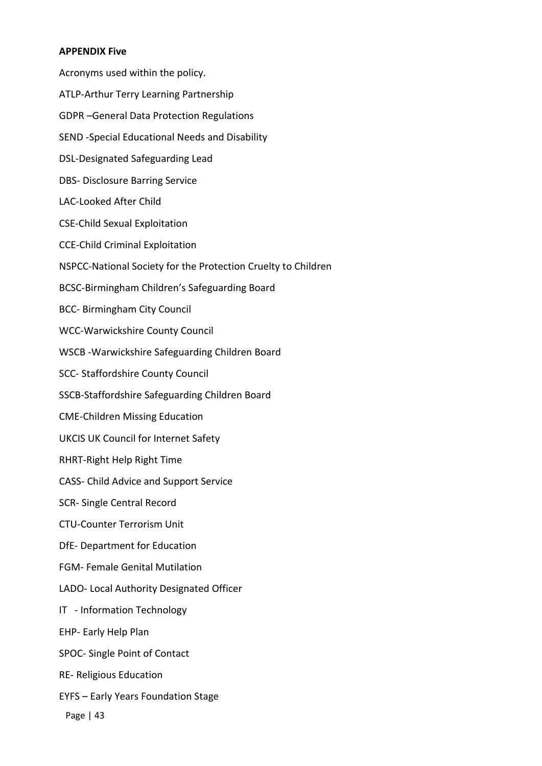#### **APPENDIX Five**

Acronyms used within the policy. ATLP-Arthur Terry Learning Partnership GDPR –General Data Protection Regulations SEND -Special Educational Needs and Disability DSL-Designated Safeguarding Lead DBS- Disclosure Barring Service LAC-Looked After Child CSE-Child Sexual Exploitation CCE-Child Criminal Exploitation NSPCC-National Society for the Protection Cruelty to Children BCSC-Birmingham Children's Safeguarding Board BCC- Birmingham City Council WCC-Warwickshire County Council WSCB -Warwickshire Safeguarding Children Board SCC- Staffordshire County Council SSCB-Staffordshire Safeguarding Children Board CME-Children Missing Education UKCIS UK Council for Internet Safety RHRT-Right Help Right Time CASS- Child Advice and Support Service SCR- Single Central Record CTU-Counter Terrorism Unit DfE- Department for Education FGM- Female Genital Mutilation LADO- Local Authority Designated Officer IT - Information Technology EHP- Early Help Plan SPOC- Single Point of Contact RE- Religious Education EYFS – Early Years Foundation Stage

Page | 43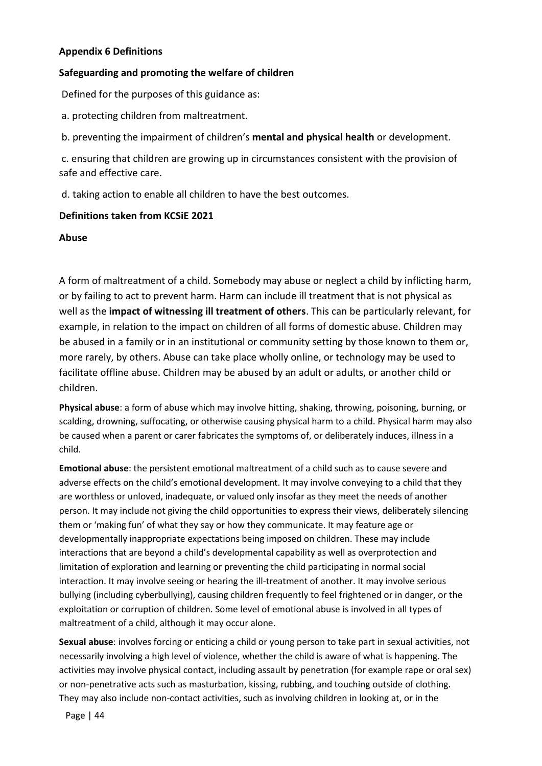#### **Appendix 6 Definitions**

#### **Safeguarding and promoting the welfare of children**

Defined for the purposes of this guidance as:

- a. protecting children from maltreatment.
- b. preventing the impairment of children's **mental and physical health** or development.

c. ensuring that children are growing up in circumstances consistent with the provision of safe and effective care.

d. taking action to enable all children to have the best outcomes.

#### **Definitions taken from KCSiE 2021**

**Abuse** 

A form of maltreatment of a child. Somebody may abuse or neglect a child by inflicting harm, or by failing to act to prevent harm. Harm can include ill treatment that is not physical as well as the **impact of witnessing ill treatment of others**. This can be particularly relevant, for example, in relation to the impact on children of all forms of domestic abuse. Children may be abused in a family or in an institutional or community setting by those known to them or, more rarely, by others. Abuse can take place wholly online, or technology may be used to facilitate offline abuse. Children may be abused by an adult or adults, or another child or children.

**Physical abuse**: a form of abuse which may involve hitting, shaking, throwing, poisoning, burning, or scalding, drowning, suffocating, or otherwise causing physical harm to a child. Physical harm may also be caused when a parent or carer fabricates the symptoms of, or deliberately induces, illness in a child.

**Emotional abuse**: the persistent emotional maltreatment of a child such as to cause severe and adverse effects on the child's emotional development. It may involve conveying to a child that they are worthless or unloved, inadequate, or valued only insofar as they meet the needs of another person. It may include not giving the child opportunities to express their views, deliberately silencing them or 'making fun' of what they say or how they communicate. It may feature age or developmentally inappropriate expectations being imposed on children. These may include interactions that are beyond a child's developmental capability as well as overprotection and limitation of exploration and learning or preventing the child participating in normal social interaction. It may involve seeing or hearing the ill-treatment of another. It may involve serious bullying (including cyberbullying), causing children frequently to feel frightened or in danger, or the exploitation or corruption of children. Some level of emotional abuse is involved in all types of maltreatment of a child, although it may occur alone.

**Sexual abuse**: involves forcing or enticing a child or young person to take part in sexual activities, not necessarily involving a high level of violence, whether the child is aware of what is happening. The activities may involve physical contact, including assault by penetration (for example rape or oral sex) or non-penetrative acts such as masturbation, kissing, rubbing, and touching outside of clothing. They may also include non-contact activities, such as involving children in looking at, or in the